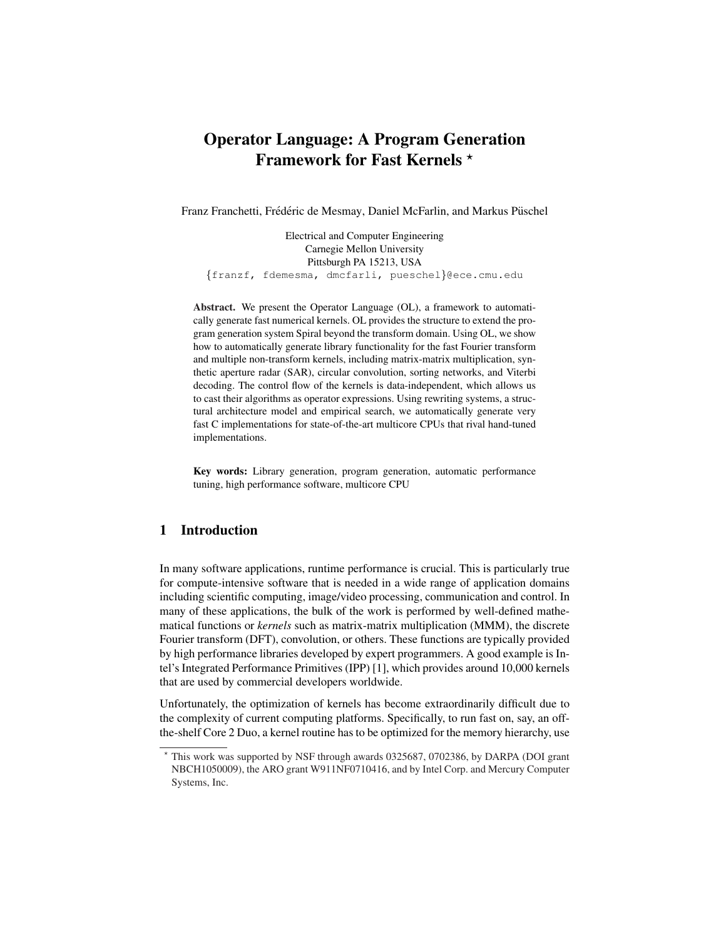# Operator Language: A Program Generation Framework for Fast Kernels \*

Franz Franchetti, Frédéric de Mesmay, Daniel McFarlin, and Markus Püschel

Electrical and Computer Engineering Carnegie Mellon University Pittsburgh PA 15213, USA {franzf, fdemesma, dmcfarli, pueschel}@ece.cmu.edu

Abstract. We present the Operator Language (OL), a framework to automatically generate fast numerical kernels. OL provides the structure to extend the program generation system Spiral beyond the transform domain. Using OL, we show how to automatically generate library functionality for the fast Fourier transform and multiple non-transform kernels, including matrix-matrix multiplication, synthetic aperture radar (SAR), circular convolution, sorting networks, and Viterbi decoding. The control flow of the kernels is data-independent, which allows us to cast their algorithms as operator expressions. Using rewriting systems, a structural architecture model and empirical search, we automatically generate very fast C implementations for state-of-the-art multicore CPUs that rival hand-tuned implementations.

Key words: Library generation, program generation, automatic performance tuning, high performance software, multicore CPU

# 1 Introduction

In many software applications, runtime performance is crucial. This is particularly true for compute-intensive software that is needed in a wide range of application domains including scientific computing, image/video processing, communication and control. In many of these applications, the bulk of the work is performed by well-defined mathematical functions or *kernels* such as matrix-matrix multiplication (MMM), the discrete Fourier transform (DFT), convolution, or others. These functions are typically provided by high performance libraries developed by expert programmers. A good example is Intel's Integrated Performance Primitives (IPP) [1], which provides around 10,000 kernels that are used by commercial developers worldwide.

Unfortunately, the optimization of kernels has become extraordinarily difficult due to the complexity of current computing platforms. Specifically, to run fast on, say, an offthe-shelf Core 2 Duo, a kernel routine has to be optimized for the memory hierarchy, use

<sup>?</sup> This work was supported by NSF through awards 0325687, 0702386, by DARPA (DOI grant NBCH1050009), the ARO grant W911NF0710416, and by Intel Corp. and Mercury Computer Systems, Inc.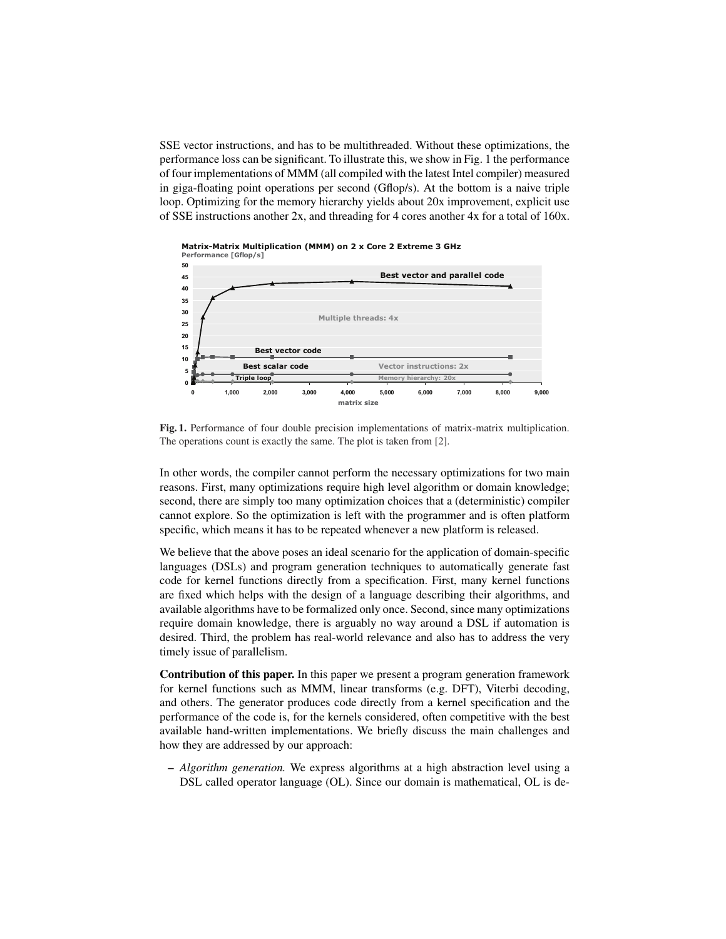SSE vector instructions, and has to be multithreaded. Without these optimizations, the performance loss can be significant. To illustrate this, we show in Fig. 1 the performance of four implementations of MMM (all compiled with the latest Intel compiler) measured in giga-floating point operations per second (Gflop/s). At the bottom is a naive triple loop. Optimizing for the memory hierarchy yields about 20x improvement, explicit use of SSE instructions another 2x, and threading for 4 cores another 4x for a total of 160x.



**Matrix-Matrix Multiplication (MMM) on 2 x Core 2 Extreme 3 GHz Performance [Gflop/s]**

Fig. 1. Performance of four double precision implementations of matrix-matrix multiplication. The operations count is exactly the same. The plot is taken from [2].

In other words, the compiler cannot perform the necessary optimizations for two main reasons. First, many optimizations require high level algorithm or domain knowledge; second, there are simply too many optimization choices that a (deterministic) compiler cannot explore. So the optimization is left with the programmer and is often platform specific, which means it has to be repeated whenever a new platform is released.

We believe that the above poses an ideal scenario for the application of domain-specific languages (DSLs) and program generation techniques to automatically generate fast code for kernel functions directly from a specification. First, many kernel functions are fixed which helps with the design of a language describing their algorithms, and available algorithms have to be formalized only once. Second, since many optimizations require domain knowledge, there is arguably no way around a DSL if automation is desired. Third, the problem has real-world relevance and also has to address the very timely issue of parallelism.

Contribution of this paper. In this paper we present a program generation framework for kernel functions such as MMM, linear transforms (e.g. DFT), Viterbi decoding, and others. The generator produces code directly from a kernel specification and the performance of the code is, for the kernels considered, often competitive with the best available hand-written implementations. We briefly discuss the main challenges and how they are addressed by our approach:

– *Algorithm generation.* We express algorithms at a high abstraction level using a DSL called operator language (OL). Since our domain is mathematical, OL is de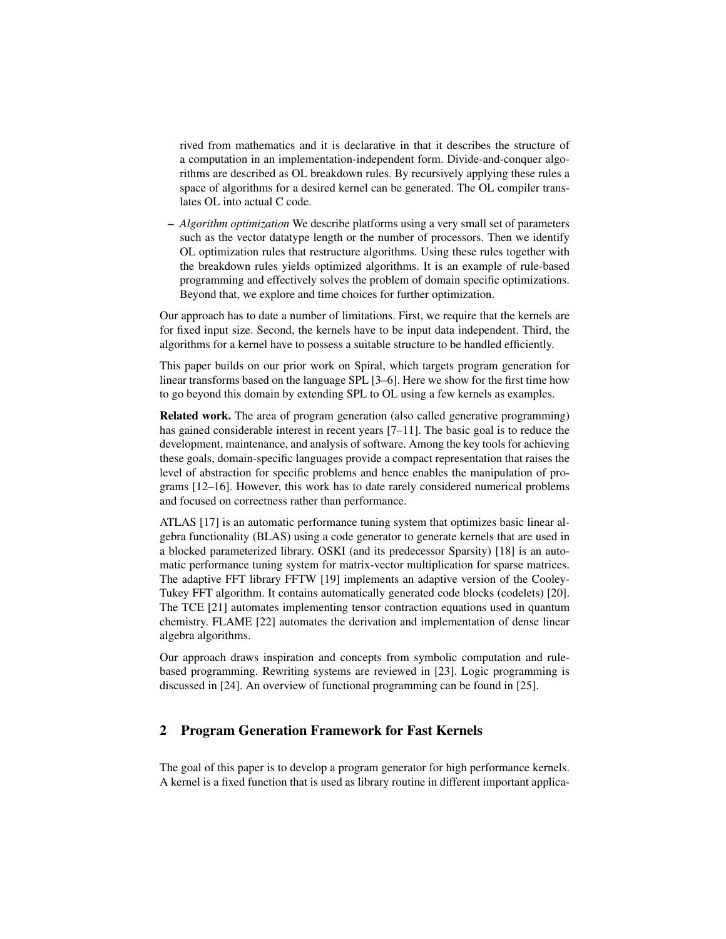rived from mathematics and it is declarative in that it describes the structure of a computation in an implementation-independent form. Divide-and-conquer algorithms are described as OL breakdown rules. By recursively applying these rules a space of algorithms for a desired kernel can be generated. The OL compiler translates OL into actual C code.

– *Algorithm optimization* We describe platforms using a very small set of parameters such as the vector datatype length or the number of processors. Then we identify OL optimization rules that restructure algorithms. Using these rules together with the breakdown rules yields optimized algorithms. It is an example of rule-based programming and effectively solves the problem of domain specific optimizations. Beyond that, we explore and time choices for further optimization.

Our approach has to date a number of limitations. First, we require that the kernels are for fixed input size. Second, the kernels have to be input data independent. Third, the algorithms for a kernel have to possess a suitable structure to be handled efficiently.

This paper builds on our prior work on Spiral, which targets program generation for linear transforms based on the language SPL [3–6]. Here we show for the first time how to go beyond this domain by extending SPL to OL using a few kernels as examples.

Related work. The area of program generation (also called generative programming) has gained considerable interest in recent years [7–11]. The basic goal is to reduce the development, maintenance, and analysis of software. Among the key tools for achieving these goals, domain-specific languages provide a compact representation that raises the level of abstraction for specific problems and hence enables the manipulation of programs [12–16]. However, this work has to date rarely considered numerical problems and focused on correctness rather than performance.

ATLAS [17] is an automatic performance tuning system that optimizes basic linear algebra functionality (BLAS) using a code generator to generate kernels that are used in a blocked parameterized library. OSKI (and its predecessor Sparsity) [18] is an automatic performance tuning system for matrix-vector multiplication for sparse matrices. The adaptive FFT library FFTW [19] implements an adaptive version of the Cooley-Tukey FFT algorithm. It contains automatically generated code blocks (codelets) [20]. The TCE [21] automates implementing tensor contraction equations used in quantum chemistry. FLAME [22] automates the derivation and implementation of dense linear algebra algorithms.

Our approach draws inspiration and concepts from symbolic computation and rulebased programming. Rewriting systems are reviewed in [23]. Logic programming is discussed in [24]. An overview of functional programming can be found in [25].

## 2 Program Generation Framework for Fast Kernels

The goal of this paper is to develop a program generator for high performance kernels. A kernel is a fixed function that is used as library routine in different important applica-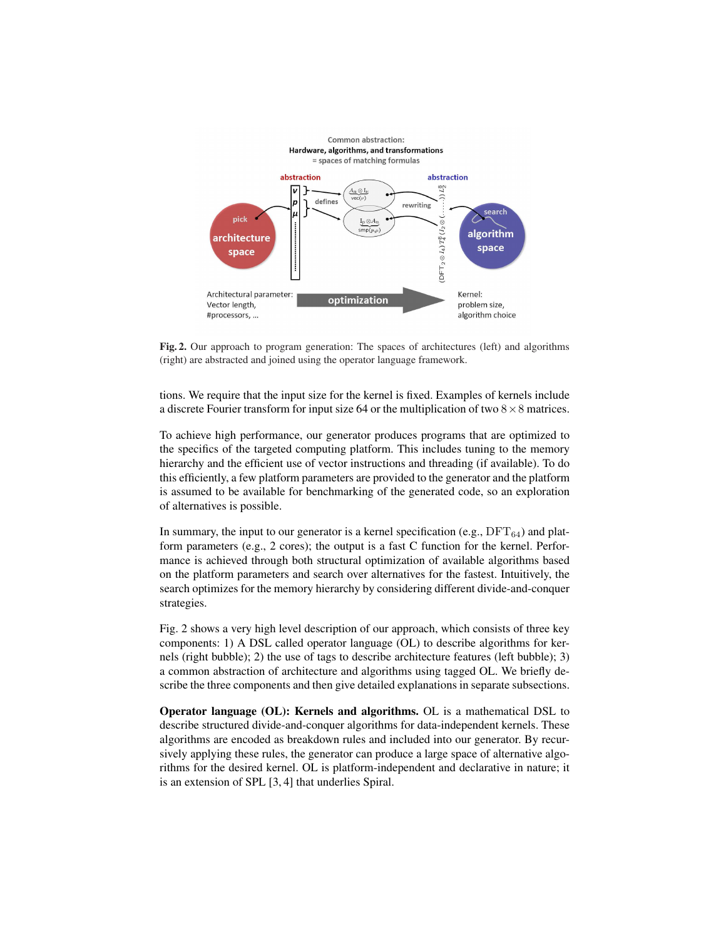

Fig. 2. Our approach to program generation: The spaces of architectures (left) and algorithms (right) are abstracted and joined using the operator language framework.

tions. We require that the input size for the kernel is fixed. Examples of kernels include a discrete Fourier transform for input size 64 or the multiplication of two  $8 \times 8$  matrices.

To achieve high performance, our generator produces programs that are optimized to the specifics of the targeted computing platform. This includes tuning to the memory hierarchy and the efficient use of vector instructions and threading (if available). To do this efficiently, a few platform parameters are provided to the generator and the platform is assumed to be available for benchmarking of the generated code, so an exploration of alternatives is possible.

In summary, the input to our generator is a kernel specification (e.g.,  $DFT_{64}$ ) and platform parameters (e.g., 2 cores); the output is a fast C function for the kernel. Performance is achieved through both structural optimization of available algorithms based on the platform parameters and search over alternatives for the fastest. Intuitively, the search optimizes for the memory hierarchy by considering different divide-and-conquer strategies.

Fig. 2 shows a very high level description of our approach, which consists of three key components: 1) A DSL called operator language (OL) to describe algorithms for kernels (right bubble); 2) the use of tags to describe architecture features (left bubble); 3) a common abstraction of architecture and algorithms using tagged OL. We briefly describe the three components and then give detailed explanations in separate subsections.

Operator language (OL): Kernels and algorithms. OL is a mathematical DSL to describe structured divide-and-conquer algorithms for data-independent kernels. These algorithms are encoded as breakdown rules and included into our generator. By recursively applying these rules, the generator can produce a large space of alternative algorithms for the desired kernel. OL is platform-independent and declarative in nature; it is an extension of SPL [3, 4] that underlies Spiral.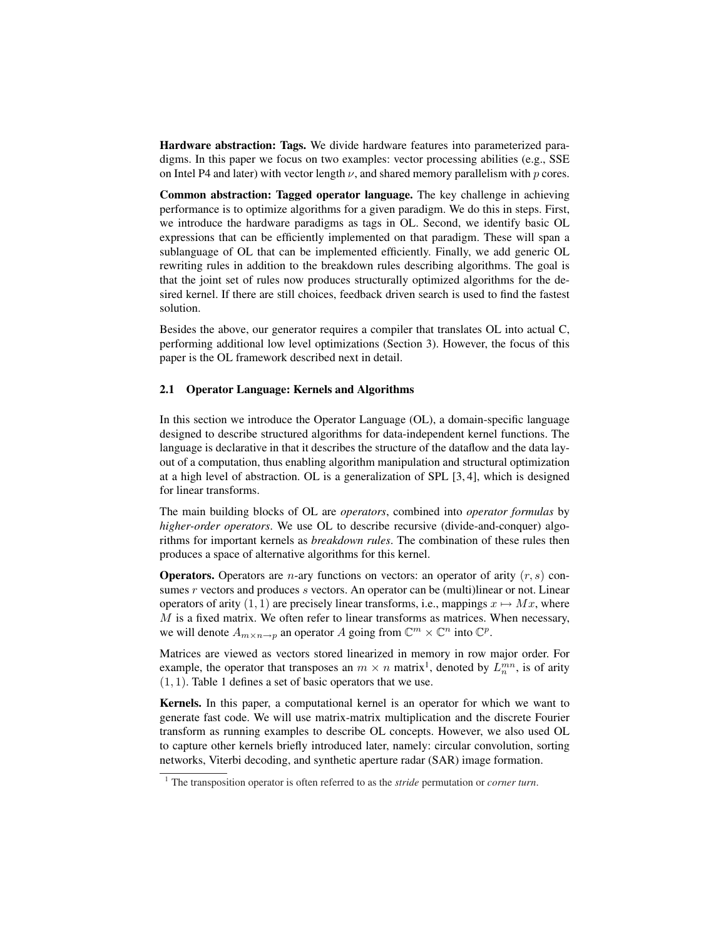Hardware abstraction: Tags. We divide hardware features into parameterized paradigms. In this paper we focus on two examples: vector processing abilities (e.g., SSE on Intel P4 and later) with vector length  $\nu$ , and shared memory parallelism with p cores.

Common abstraction: Tagged operator language. The key challenge in achieving performance is to optimize algorithms for a given paradigm. We do this in steps. First, we introduce the hardware paradigms as tags in OL. Second, we identify basic OL expressions that can be efficiently implemented on that paradigm. These will span a sublanguage of OL that can be implemented efficiently. Finally, we add generic OL rewriting rules in addition to the breakdown rules describing algorithms. The goal is that the joint set of rules now produces structurally optimized algorithms for the desired kernel. If there are still choices, feedback driven search is used to find the fastest solution.

Besides the above, our generator requires a compiler that translates OL into actual C, performing additional low level optimizations (Section 3). However, the focus of this paper is the OL framework described next in detail.

#### 2.1 Operator Language: Kernels and Algorithms

In this section we introduce the Operator Language (OL), a domain-specific language designed to describe structured algorithms for data-independent kernel functions. The language is declarative in that it describes the structure of the dataflow and the data layout of a computation, thus enabling algorithm manipulation and structural optimization at a high level of abstraction. OL is a generalization of SPL [3, 4], which is designed for linear transforms.

The main building blocks of OL are *operators*, combined into *operator formulas* by *higher-order operators*. We use OL to describe recursive (divide-and-conquer) algorithms for important kernels as *breakdown rules*. The combination of these rules then produces a space of alternative algorithms for this kernel.

**Operators.** Operators are *n*-ary functions on vectors: an operator of arity  $(r, s)$  consumes  $r$  vectors and produces  $s$  vectors. An operator can be (multi)linear or not. Linear operators of arity  $(1, 1)$  are precisely linear transforms, i.e., mappings  $x \mapsto Mx$ , where  $M$  is a fixed matrix. We often refer to linear transforms as matrices. When necessary, we will denote  $A_{m \times n \to p}$  an operator A going from  $\mathbb{C}^m \times \mathbb{C}^n$  into  $\mathbb{C}^p$ .

Matrices are viewed as vectors stored linearized in memory in row major order. For example, the operator that transposes an  $m \times n$  matrix<sup>1</sup>, denoted by  $L_n^{mn}$ , is of arity  $(1, 1)$ . Table 1 defines a set of basic operators that we use.

Kernels. In this paper, a computational kernel is an operator for which we want to generate fast code. We will use matrix-matrix multiplication and the discrete Fourier transform as running examples to describe OL concepts. However, we also used OL to capture other kernels briefly introduced later, namely: circular convolution, sorting networks, Viterbi decoding, and synthetic aperture radar (SAR) image formation.

<sup>1</sup> The transposition operator is often referred to as the *stride* permutation or *corner turn*.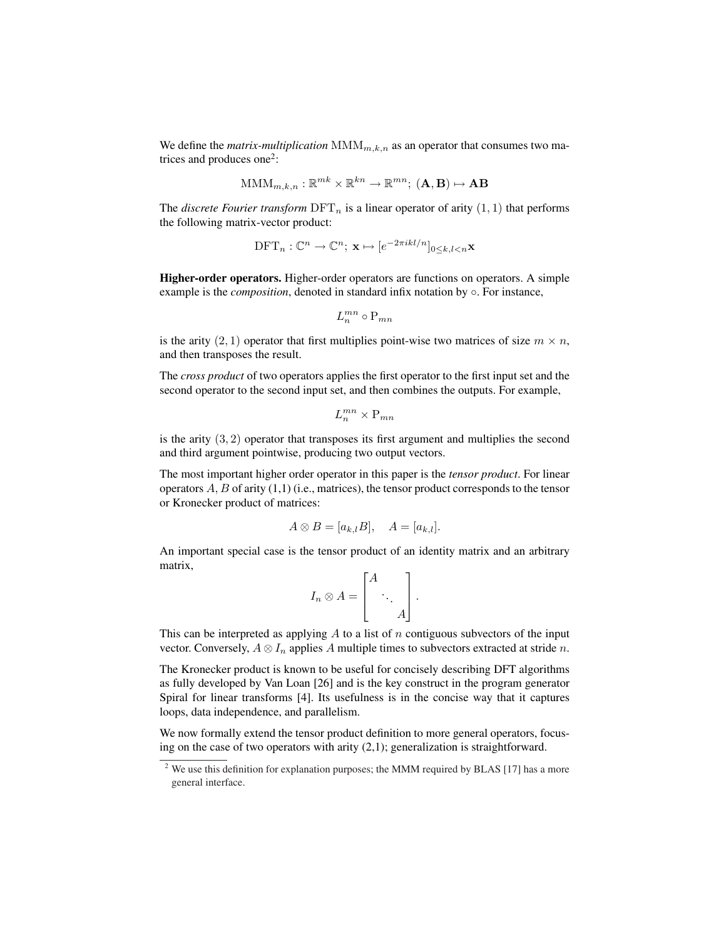We define the *matrix-multiplication*  $MMM_{m,k,n}$  as an operator that consumes two matrices and produces one<sup>2</sup>:

$$
\mathrm{MMM}_{m,k,n}:\mathbb{R}^{mk}\times\mathbb{R}^{kn}\rightarrow\mathbb{R}^{mn};~(\mathbf{A},\mathbf{B})\mapsto\mathbf{AB}
$$

The *discrete Fourier transform*  $DFT_n$  is a linear operator of arity  $(1, 1)$  that performs the following matrix-vector product:

$$
\text{DFT}_n: \mathbb{C}^n \to \mathbb{C}^n; \ \mathbf{x} \mapsto [e^{-2\pi i k l/n}]_{0 \leq k, l < n} \mathbf{x}
$$

Higher-order operators. Higher-order operators are functions on operators. A simple example is the *composition*, denoted in standard infix notation by ○. For instance,

$$
L_n^{mn}\circ {\bf P}_{mn}
$$

is the arity (2, 1) operator that first multiplies point-wise two matrices of size  $m \times n$ , and then transposes the result.

The *cross product* of two operators applies the first operator to the first input set and the second operator to the second input set, and then combines the outputs. For example,

$$
L_n^{mn}\times \mathbf{P}_{mn}
$$

is the arity  $(3, 2)$  operator that transposes its first argument and multiplies the second and third argument pointwise, producing two output vectors.

The most important higher order operator in this paper is the *tensor product*. For linear operators  $A, B$  of arity  $(1,1)$  (i.e., matrices), the tensor product corresponds to the tensor or Kronecker product of matrices:

$$
A \otimes B = [a_{k,l}B], \quad A = [a_{k,l}].
$$

An important special case is the tensor product of an identity matrix and an arbitrary matrix,  $\overline{a}$  $\overline{a}$ 

$$
I_n \otimes A = \begin{bmatrix} A & & \\ & \ddots & \\ & & A \end{bmatrix}.
$$

This can be interpreted as applying  $A$  to a list of  $n$  contiguous subvectors of the input vector. Conversely,  $A \otimes I_n$  applies A multiple times to subvectors extracted at stride n.

The Kronecker product is known to be useful for concisely describing DFT algorithms as fully developed by Van Loan [26] and is the key construct in the program generator Spiral for linear transforms [4]. Its usefulness is in the concise way that it captures loops, data independence, and parallelism.

We now formally extend the tensor product definition to more general operators, focusing on the case of two operators with arity (2,1); generalization is straightforward.

 $2$  We use this definition for explanation purposes; the MMM required by BLAS [17] has a more general interface.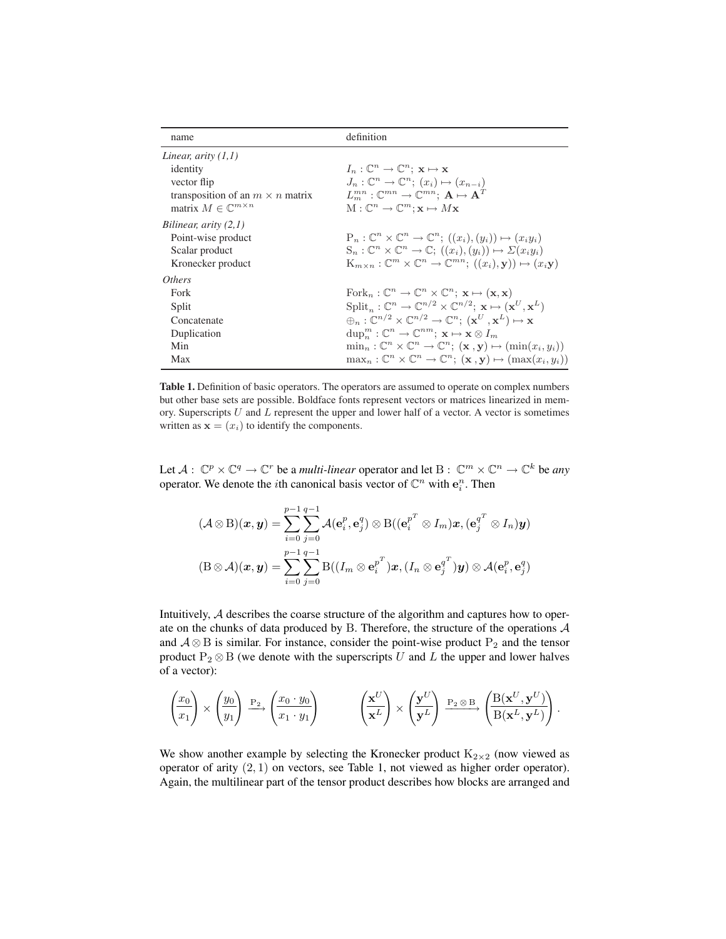| name                                    | definition                                                                                                                    |
|-----------------------------------------|-------------------------------------------------------------------------------------------------------------------------------|
| Linear, arity $(1,1)$                   |                                                                                                                               |
| identity                                | $I_n: \mathbb{C}^n \to \mathbb{C}^n$ ; $\mathbf{x} \mapsto \mathbf{x}$                                                        |
| vector flip                             | $J_n: \mathbb{C}^n \to \mathbb{C}^n$ ; $(x_i) \mapsto (x_{n-i})$                                                              |
| transposition of an $m \times n$ matrix | $L_m^{mn}: \mathbb{C}^{mn} \to \mathbb{C}^{mn}$ : $\mathbf{A} \mapsto \mathbf{A}^T$                                           |
| matrix $M \in \mathbb{C}^{m \times n}$  | $M: \mathbb{C}^n \to \mathbb{C}^m$ : $\mathbf{x} \mapsto M\mathbf{x}$                                                         |
| Bilinear, arity $(2,1)$                 |                                                                                                                               |
| Point-wise product                      | $P_n: \mathbb{C}^n \times \mathbb{C}^n \to \mathbb{C}^n$ ; $((x_i), (y_i)) \mapsto (x_iy_i)$                                  |
| Scalar product                          | $S_n: \mathbb{C}^n \times \mathbb{C}^n \to \mathbb{C}; ((x_i), (y_i)) \mapsto \Sigma(x_iy_i)$                                 |
| Kronecker product                       | $K_{m \times n}: \mathbb{C}^m \times \mathbb{C}^n \to \mathbb{C}^{mn}$ : $((x_i), \mathbf{v}) \mapsto (x_i \mathbf{v})$       |
| <i>Others</i>                           |                                                                                                                               |
| Fork                                    | Fork <sub>n</sub> : $\mathbb{C}^n \to \mathbb{C}^n \times \mathbb{C}^n$ ; $\mathbf{x} \mapsto (\mathbf{x}, \mathbf{x})$       |
| Split                                   | $Split_n: \mathbb{C}^n \to \mathbb{C}^{n/2} \times \mathbb{C}^{n/2}$ ; $\mathbf{x} \mapsto (\mathbf{x}^U, \mathbf{x}^L)$      |
| Concatenate                             | $\bigoplus_n : \mathbb{C}^{n/2} \times \mathbb{C}^{n/2} \to \mathbb{C}^n$ ; $(\mathbf{x}^U, \mathbf{x}^L) \mapsto \mathbf{x}$ |
| Duplication                             | $\text{dup}_n^m : \mathbb{C}^n \to \mathbb{C}^{nm}$ ; $\mathbf{x} \mapsto \mathbf{x} \otimes I_m$                             |
| Min                                     | $\min_n : \mathbb{C}^n \times \mathbb{C}^n \to \mathbb{C}^n$ ; $(\mathbf{x}, \mathbf{y}) \mapsto (\min(x_i, y_i))$            |
| Max                                     | $\max_n : \mathbb{C}^n \times \mathbb{C}^n \to \mathbb{C}^n; (\mathbf{x}, \mathbf{y}) \mapsto (\max(x_i, y_i))$               |

Table 1. Definition of basic operators. The operators are assumed to operate on complex numbers but other base sets are possible. Boldface fonts represent vectors or matrices linearized in memory. Superscripts  $U$  and  $L$  represent the upper and lower half of a vector. A vector is sometimes written as  $\mathbf{x} = (x_i)$  to identify the components.

Let  $A: \mathbb{C}^p \times \mathbb{C}^q \to \mathbb{C}^r$  be a *multi-linear* operator and let  $B: \mathbb{C}^m \times \mathbb{C}^n \to \mathbb{C}^k$  be any operator. We denote the *i*th canonical basis vector of  $\mathbb{C}^n$  with  $e_i^n$ . Then

$$
(\mathcal{A}\otimes B)(\boldsymbol{x},\boldsymbol{y})=\sum_{i=0}^{p-1}\sum_{j=0}^{q-1}\mathcal{A}(\mathbf{e}_i^p,\mathbf{e}_j^q)\otimes B((\mathbf{e}_i^{p^T}\otimes I_m)\boldsymbol{x},(\mathbf{e}_j^{q^T}\otimes I_n)\boldsymbol{y})\\(\mathrm{B}\otimes\mathcal{A})(\boldsymbol{x},\boldsymbol{y})=\sum_{i=0}^{p-1}\sum_{j=0}^{q-1}\mathrm{B}((I_m\otimes\mathbf{e}_i^{p^T})\boldsymbol{x},(I_n\otimes\mathbf{e}_j^{q^T})\boldsymbol{y})\otimes\mathcal{A}(\mathbf{e}_i^p,\mathbf{e}_j^q)
$$

Intuitively, A describes the coarse structure of the algorithm and captures how to operate on the chunks of data produced by B. Therefore, the structure of the operations A and  $A \otimes B$  is similar. For instance, consider the point-wise product  $P_2$  and the tensor product  $P_2 \otimes B$  (we denote with the superscripts U and L the upper and lower halves of a vector):

$$
\left(\frac{x_0}{x_1}\right) \times \left(\frac{y_0}{y_1}\right) \xrightarrow{\mathbf{P}_2} \left(\frac{x_0 \cdot y_0}{x_1 \cdot y_1}\right) \qquad \left(\frac{\mathbf{x}^U}{\mathbf{x}^L}\right) \times \left(\frac{\mathbf{y}^U}{\mathbf{y}^L}\right) \xrightarrow{\mathbf{P}_2 \otimes \mathbf{B}} \left(\frac{\mathbf{B}(\mathbf{x}^U, \mathbf{y}^U)}{\mathbf{B}(\mathbf{x}^L, \mathbf{y}^L)}\right).
$$

We show another example by selecting the Kronecker product  $K_{2\times 2}$  (now viewed as operator of arity (2, 1) on vectors, see Table 1, not viewed as higher order operator). Again, the multilinear part of the tensor product describes how blocks are arranged and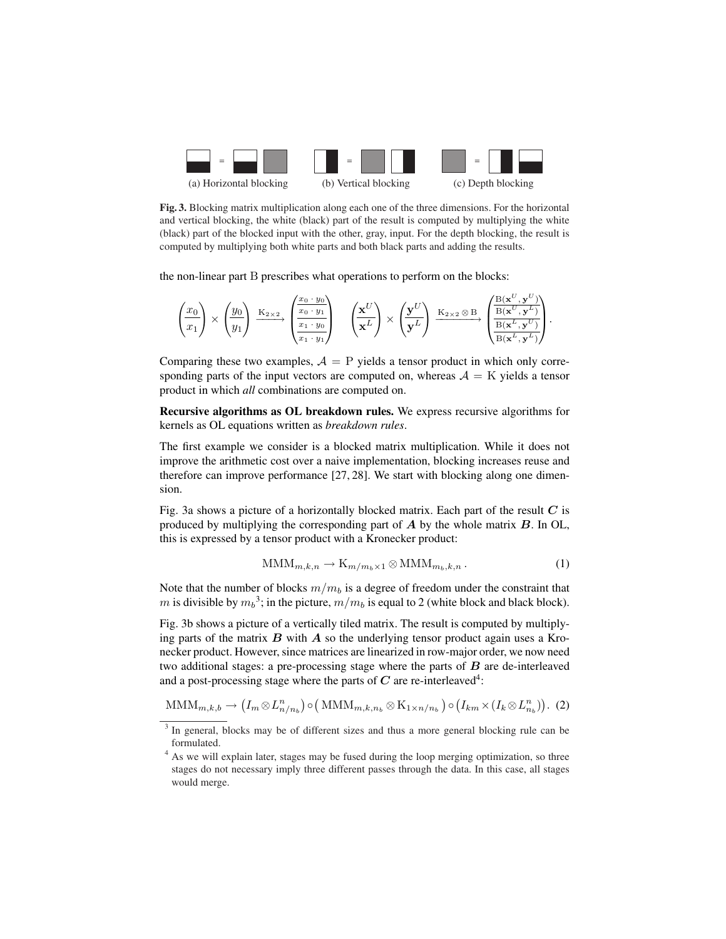

Fig. 3. Blocking matrix multiplication along each one of the three dimensions. For the horizontal and vertical blocking, the white (black) part of the result is computed by multiplying the white (black) part of the blocked input with the other, gray, input. For the depth blocking, the result is computed by multiplying both white parts and both black parts and adding the results.

the non-linear part B prescribes what operations to perform on the blocks:

$$
\left(\frac{x_0}{x_1}\right) \times \left(\frac{y_0}{y_1}\right) \xrightarrow{\mathrm{K}_{2\times 2}} \left(\frac{\frac{x_0 \cdot y_0}{x_0 \cdot y_1}}{\frac{x_1 \cdot y_0}{x_1 \cdot y_1}}\right) \quad \left(\frac{\mathbf{x}^U}{\mathbf{x}^L}\right) \times \left(\frac{\mathbf{y}^U}{\mathbf{y}^L}\right) \xrightarrow{\mathrm{K}_{2\times 2} \otimes \mathrm{B}} \left(\frac{\frac{\mathrm{B}(\mathbf{x}^U, \mathbf{y}^U)}{\mathrm{B}(\mathbf{x}^L, \mathbf{y}^L)}}{\frac{\mathrm{B}(\mathbf{x}^U, \mathbf{y}^U)}{\mathrm{B}(\mathbf{x}^L, \mathbf{y}^L)}}\right).
$$

Comparing these two examples,  $A = P$  yields a tensor product in which only corresponding parts of the input vectors are computed on, whereas  $A = K$  yields a tensor product in which *all* combinations are computed on.

Recursive algorithms as OL breakdown rules. We express recursive algorithms for kernels as OL equations written as *breakdown rules*.

The first example we consider is a blocked matrix multiplication. While it does not improve the arithmetic cost over a naive implementation, blocking increases reuse and therefore can improve performance [27, 28]. We start with blocking along one dimension.

Fig. 3a shows a picture of a horizontally blocked matrix. Each part of the result  $C$  is produced by multiplying the corresponding part of  $\vec{A}$  by the whole matrix  $\vec{B}$ . In OL, this is expressed by a tensor product with a Kronecker product:

$$
\text{MMM}_{m,k,n} \to \text{K}_{m/m_b \times 1} \otimes \text{MMM}_{m_b,k,n} \,. \tag{1}
$$

Note that the number of blocks  $m/m_b$  is a degree of freedom under the constraint that m is divisible by  $m_b^3$ ; in the picture,  $m/m_b$  is equal to 2 (white block and black block).

Fig. 3b shows a picture of a vertically tiled matrix. The result is computed by multiplying parts of the matrix  $\bf{B}$  with  $\bf{A}$  so the underlying tensor product again uses a Kronecker product. However, since matrices are linearized in row-major order, we now need two additional stages: a pre-processing stage where the parts of  $\boldsymbol{B}$  are de-interleaved and a post-processing stage where the parts of  $C$  are re-interleaved<sup>4</sup>:

$$
\text{MMM}_{m,k,b} \to \left(I_m \otimes L_{n/n_b}^n\right) \circ \left(\text{MMM}_{m,k,n_b} \otimes \text{K}_{1 \times n/n_b}\right) \circ \left(I_{km} \times \left(I_k \otimes L_{n_b}^n\right)\right). (2)
$$

<sup>&</sup>lt;sup>3</sup> In general, blocks may be of different sizes and thus a more general blocking rule can be formulated.

<sup>&</sup>lt;sup>4</sup> As we will explain later, stages may be fused during the loop merging optimization, so three stages do not necessary imply three different passes through the data. In this case, all stages would merge.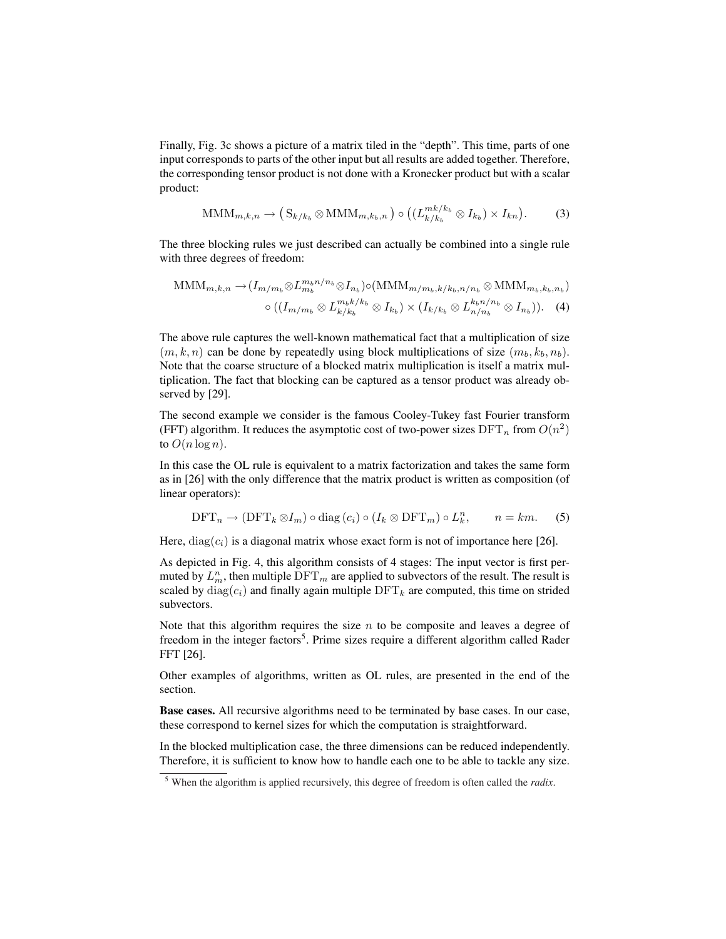Finally, Fig. 3c shows a picture of a matrix tiled in the "depth". This time, parts of one input corresponds to parts of the other input but all results are added together. Therefore, the corresponding tensor product is not done with a Kronecker product but with a scalar product:

$$
\text{MMM}_{m,k,n} \to \left(\text{S}_{k/k_b} \otimes \text{MMM}_{m,k_b,n}\right) \circ \left(\left(L_{k/k_b}^{mk/k_b} \otimes I_{k_b}\right) \times I_{kn}\right). \tag{3}
$$

The three blocking rules we just described can actually be combined into a single rule with three degrees of freedom:

$$
\text{MMM}_{m,k,n} \to (I_{m/m_b} \otimes L_{m_b}^{m_b n/n_b} \otimes I_{n_b}) \circ (\text{MMM}_{m/m_b,k/k_b,n/n_b} \otimes \text{MMM}_{m_b,k_b,n_b})
$$

$$
\circ ((I_{m/m_b} \otimes L_{k/k_b}^{m_b k/k_b} \otimes I_{k_b}) \times (I_{k/k_b} \otimes L_{n/m_b}^{k_b n/n_b} \otimes I_{n_b})).
$$
 (4)

The above rule captures the well-known mathematical fact that a multiplication of size  $(m, k, n)$  can be done by repeatedly using block multiplications of size  $(m_b, k_b, n_b)$ . Note that the coarse structure of a blocked matrix multiplication is itself a matrix multiplication. The fact that blocking can be captured as a tensor product was already observed by [29].

The second example we consider is the famous Cooley-Tukey fast Fourier transform (FFT) algorithm. It reduces the asymptotic cost of two-power sizes  $\text{DFT}_n$  from  $O(n^2)$ to  $O(n \log n)$ .

In this case the OL rule is equivalent to a matrix factorization and takes the same form as in [26] with the only difference that the matrix product is written as composition (of linear operators):

$$
\text{DFT}_n \to (\text{DFT}_k \otimes I_m) \circ \text{diag}(c_i) \circ (I_k \otimes \text{DFT}_m) \circ L_k^n, \qquad n = km. \tag{5}
$$

Here,  $diag(c_i)$  is a diagonal matrix whose exact form is not of importance here [26].

As depicted in Fig. 4, this algorithm consists of 4 stages: The input vector is first permuted by  $L_m^n$ , then multiple  $\mathrm{DFT}_m$  are applied to subvectors of the result. The result is scaled by  $diag(c_i)$  and finally again multiple  $DFT_k$  are computed, this time on strided subvectors.

Note that this algorithm requires the size  $n$  to be composite and leaves a degree of freedom in the integer factors<sup>5</sup>. Prime sizes require a different algorithm called Rader FFT [26].

Other examples of algorithms, written as OL rules, are presented in the end of the section.

Base cases. All recursive algorithms need to be terminated by base cases. In our case, these correspond to kernel sizes for which the computation is straightforward.

In the blocked multiplication case, the three dimensions can be reduced independently. Therefore, it is sufficient to know how to handle each one to be able to tackle any size.

<sup>5</sup> When the algorithm is applied recursively, this degree of freedom is often called the *radix*.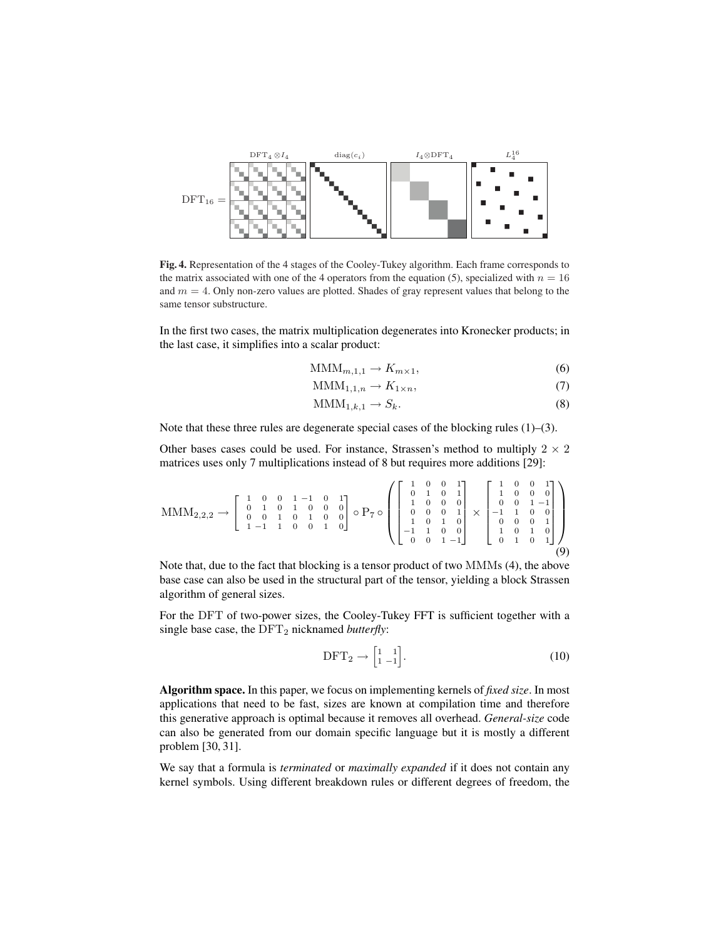

Fig. 4. Representation of the 4 stages of the Cooley-Tukey algorithm. Each frame corresponds to the matrix associated with one of the 4 operators from the equation (5), specialized with  $n = 16$ and  $m = 4$ . Only non-zero values are plotted. Shades of gray represent values that belong to the same tensor substructure.

In the first two cases, the matrix multiplication degenerates into Kronecker products; in the last case, it simplifies into a scalar product:

$$
\text{MMM}_{m,1,1} \to K_{m \times 1},\tag{6}
$$

$$
\text{MMM}_{1,1,n} \to K_{1 \times n},\tag{7}
$$

$$
\text{MMM}_{1,k,1} \to S_k. \tag{8}
$$

Note that these three rules are degenerate special cases of the blocking rules (1)–(3).

Other bases cases could be used. For instance, Strassen's method to multiply  $2 \times 2$ matrices uses only 7 multiplications instead of 8 but requires more additions [29]:

$$
\text{MMM}_{2,2,2} \rightarrow \left[\begin{array}{cccccc} 1 & 0 & 0 & 1 & -1 & 0 & 1 \\ 0 & 1 & 0 & 1 & 0 & 0 & 0 \\ 0 & 0 & 1 & 0 & 1 & 0 & 0 \\ 1 & -1 & 1 & 0 & 0 & 1 & 0 \end{array}\right] \circ P_7 \circ \left(\left[\begin{array}{cccccc} 1 & 0 & 0 & 1 \\ 0 & 1 & 0 & 1 \\ 1 & 0 & 0 & 0 \\ 0 & 0 & 0 & 1 \\ -1 & 1 & 0 & 0 \\ 0 & 0 & 1 & -1 \end{array}\right] \times \left[\begin{array}{cccccc} 1 & 0 & 0 & 1 \\ 1 & 0 & 0 & 0 \\ 0 & 0 & 1 & -1 \\ -1 & 1 & 0 & 0 \\ 0 & 0 & 0 & 1 \\ 0 & 0 & 1 & 0 \end{array}\right] \right)
$$

Note that, due to the fact that blocking is a tensor product of two MMMs (4), the above base case can also be used in the structural part of the tensor, yielding a block Strassen algorithm of general sizes.

For the DFT of two-power sizes, the Cooley-Tukey FFT is sufficient together with a single base case, the DFT<sub>2</sub> nicknamed *butterfly*:

$$
\text{DFT}_2 \to \begin{bmatrix} 1 & 1 \\ 1 & -1 \end{bmatrix} . \tag{10}
$$

Algorithm space. In this paper, we focus on implementing kernels of *fixed size*. In most applications that need to be fast, sizes are known at compilation time and therefore this generative approach is optimal because it removes all overhead. *General-size* code can also be generated from our domain specific language but it is mostly a different problem [30, 31].

We say that a formula is *terminated* or *maximally expanded* if it does not contain any kernel symbols. Using different breakdown rules or different degrees of freedom, the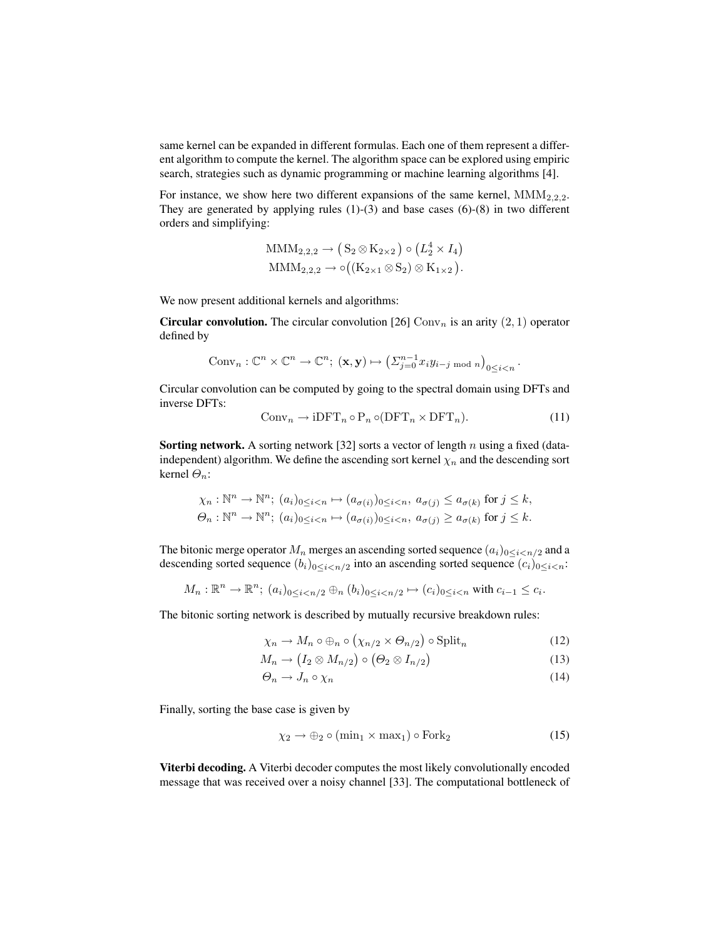same kernel can be expanded in different formulas. Each one of them represent a different algorithm to compute the kernel. The algorithm space can be explored using empiric search, strategies such as dynamic programming or machine learning algorithms [4].

For instance, we show here two different expansions of the same kernel,  $MMM_{2,2,2}$ . They are generated by applying rules  $(1)-(3)$  and base cases  $(6)-(8)$  in two different orders and simplifying:

$$
MMM_{2,2,2} \rightarrow (S_2 \otimes K_{2\times 2}) \circ (L_2^4 \times I_4)
$$
  

$$
MMM_{2,2,2} \rightarrow \circ ((K_{2\times 1} \otimes S_2) \otimes K_{1\times 2}).
$$

We now present additional kernels and algorithms:

**Circular convolution.** The circular convolution [26]  $Conv_n$  is an arity (2, 1) operator defined by

$$
\operatorname{Conv}_n : \mathbb{C}^n \times \mathbb{C}^n \to \mathbb{C}^n; \ (\mathbf{x}, \mathbf{y}) \mapsto \left(\sum_{j=0}^{n-1} x_i y_{i-j} \bmod n\right)_{0 \le i < n}.
$$

Circular convolution can be computed by going to the spectral domain using DFTs and inverse DFTs:

$$
Conv_n \to iDFT_n \circ P_n \circ (DFT_n \times DFT_n). \tag{11}
$$

Sorting network. A sorting network [32] sorts a vector of length  $n$  using a fixed (dataindependent) algorithm. We define the ascending sort kernel  $\chi_n$  and the descending sort kernel  $\Theta_n$ :

$$
\chi_n: \mathbb{N}^n \to \mathbb{N}^n; \ (a_i)_{0 \le i < n} \mapsto (a_{\sigma(i)})_{0 \le i < n}, \ a_{\sigma(j)} \le a_{\sigma(k)} \text{ for } j \le k, \\
\Theta_n: \mathbb{N}^n \to \mathbb{N}^n; \ (a_i)_{0 \le i < n} \mapsto (a_{\sigma(i)})_{0 \le i < n}, \ a_{\sigma(j)} \ge a_{\sigma(k)} \text{ for } j \le k.
$$

The bitonic merge operator  $M_n$  merges an ascending sorted sequence  $(a_i)_{0\leq i < n/2}$  and a descending sorted sequence  $(b_i)_{0 \le i \le n/2}$  into an ascending sorted sequence  $(c_i)_{0 \le i \le n}$ :

$$
M_n: \mathbb{R}^n \to \mathbb{R}^n; (a_i)_{0 \leq i < n/2} \oplus_n (b_i)_{0 \leq i < n/2} \mapsto (c_i)_{0 \leq i < n} \text{ with } c_{i-1} \leq c_i.
$$

The bitonic sorting network is described by mutually recursive breakdown rules:

$$
\chi_n \to M_n \circ \oplus_n \circ \left(\chi_{n/2} \times \Theta_{n/2}\right) \circ \text{Split}_n \tag{12}
$$

$$
M_n \to (I_2 \otimes M_{n/2}) \circ (\Theta_2 \otimes I_{n/2}) \tag{13}
$$

$$
\Theta_n \to J_n \circ \chi_n \tag{14}
$$

Finally, sorting the base case is given by

$$
\chi_2 \to \oplus_2 \circ (\min_1 \times \max_1) \circ \text{Fork}_2 \tag{15}
$$

Viterbi decoding. A Viterbi decoder computes the most likely convolutionally encoded message that was received over a noisy channel [33]. The computational bottleneck of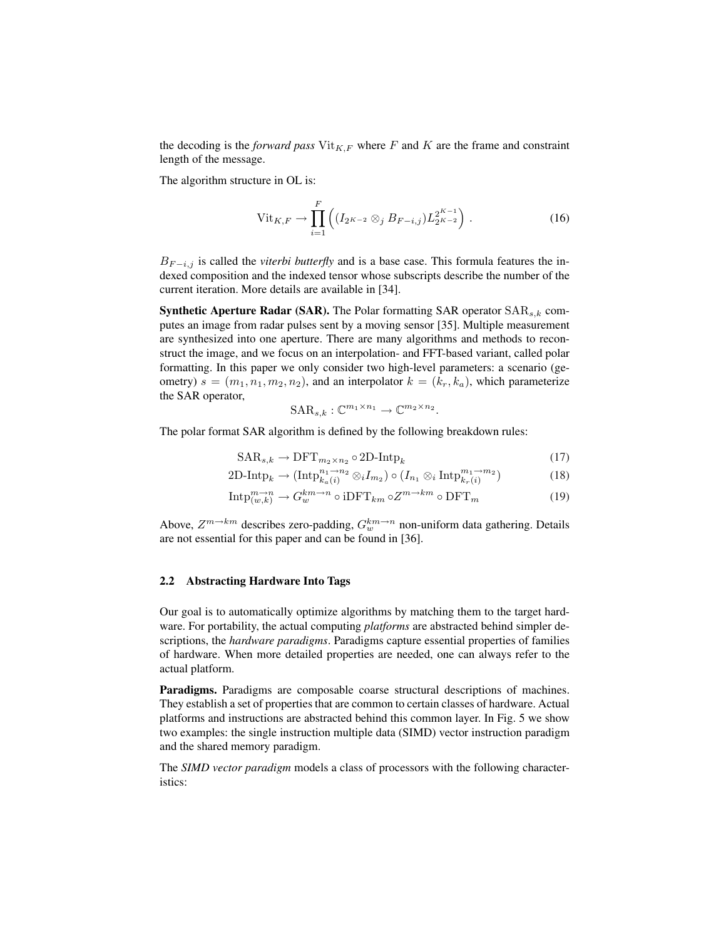the decoding is the *forward pass*  $V$ it<sub>K,F</sub> where F and K are the frame and constraint length of the message.

The algorithm structure in OL is:

$$
\text{Vit}_{K,F} \to \prod_{i=1}^{F} \left( (I_{2^{K-2}} \otimes_j B_{F-i,j}) L_{2^{K-2}}^{2^{K-1}} \right). \tag{16}
$$

 $B_{F-i,j}$  is called the *viterbi butterfly* and is a base case. This formula features the indexed composition and the indexed tensor whose subscripts describe the number of the current iteration. More details are available in [34].

**Synthetic Aperture Radar (SAR).** The Polar formatting SAR operator  $\text{SAR}_{s,k}$  computes an image from radar pulses sent by a moving sensor [35]. Multiple measurement are synthesized into one aperture. There are many algorithms and methods to reconstruct the image, and we focus on an interpolation- and FFT-based variant, called polar formatting. In this paper we only consider two high-level parameters: a scenario (geometry)  $s = (m_1, n_1, m_2, n_2)$ , and an interpolator  $k = (k_r, k_a)$ , which parameterize the SAR operator,

$$
\mathrm{SAR}_{s,k} : \mathbb{C}^{m_1 \times n_1} \rightarrow \mathbb{C}^{m_2 \times n_2}
$$

The polar format SAR algorithm is defined by the following breakdown rules:

$$
SAR_{s,k} \to \text{DFT}_{m_2 \times n_2} \circ 2\text{D-Intp}_k \tag{17}
$$

.

$$
2D\text{-Intp}_k \to (\text{Intp}_{k_a(i)}^{n_1 \to n_2} \otimes_i I_{m_2}) \circ (I_{n_1} \otimes_i \text{Intp}_{k_r(i)}^{m_1 \to m_2}) \tag{18}
$$

$$
\mathrm{Intp}_{(w,k)}^{m \to n} \to G_w^{km \to n} \circ \mathrm{iDFT}_{km} \circ Z^{m \to km} \circ \mathrm{DFT}_m \tag{19}
$$

Above,  $Z^{m\rightarrow km}$  describes zero-padding,  $G_w^{km\rightarrow n}$  non-uniform data gathering. Details are not essential for this paper and can be found in [36].

#### 2.2 Abstracting Hardware Into Tags

Our goal is to automatically optimize algorithms by matching them to the target hardware. For portability, the actual computing *platforms* are abstracted behind simpler descriptions, the *hardware paradigms*. Paradigms capture essential properties of families of hardware. When more detailed properties are needed, one can always refer to the actual platform.

Paradigms. Paradigms are composable coarse structural descriptions of machines. They establish a set of properties that are common to certain classes of hardware. Actual platforms and instructions are abstracted behind this common layer. In Fig. 5 we show two examples: the single instruction multiple data (SIMD) vector instruction paradigm and the shared memory paradigm.

The *SIMD vector paradigm* models a class of processors with the following characteristics: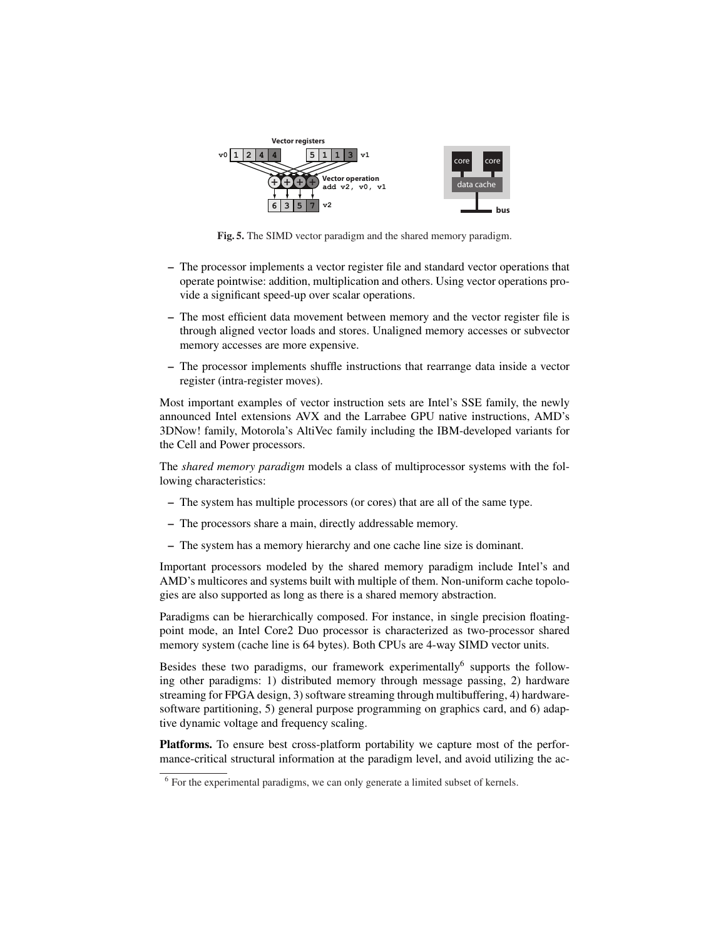

Fig. 5. The SIMD vector paradigm and the shared memory paradigm.

- The processor implements a vector register file and standard vector operations that operate pointwise: addition, multiplication and others. Using vector operations provide a significant speed-up over scalar operations.
- The most efficient data movement between memory and the vector register file is through aligned vector loads and stores. Unaligned memory accesses or subvector memory accesses are more expensive.
- The processor implements shuffle instructions that rearrange data inside a vector register (intra-register moves).

Most important examples of vector instruction sets are Intel's SSE family, the newly announced Intel extensions AVX and the Larrabee GPU native instructions, AMD's 3DNow! family, Motorola's AltiVec family including the IBM-developed variants for the Cell and Power processors.

The *shared memory paradigm* models a class of multiprocessor systems with the following characteristics:

- The system has multiple processors (or cores) that are all of the same type.
- The processors share a main, directly addressable memory.
- The system has a memory hierarchy and one cache line size is dominant.

Important processors modeled by the shared memory paradigm include Intel's and AMD's multicores and systems built with multiple of them. Non-uniform cache topologies are also supported as long as there is a shared memory abstraction.

Paradigms can be hierarchically composed. For instance, in single precision floatingpoint mode, an Intel Core2 Duo processor is characterized as two-processor shared memory system (cache line is 64 bytes). Both CPUs are 4-way SIMD vector units.

Besides these two paradigms, our framework experimentally<sup>6</sup> supports the following other paradigms: 1) distributed memory through message passing, 2) hardware streaming for FPGA design, 3) software streaming through multibuffering, 4) hardwaresoftware partitioning, 5) general purpose programming on graphics card, and 6) adaptive dynamic voltage and frequency scaling.

Platforms. To ensure best cross-platform portability we capture most of the performance-critical structural information at the paradigm level, and avoid utilizing the ac-

 $6$  For the experimental paradigms, we can only generate a limited subset of kernels.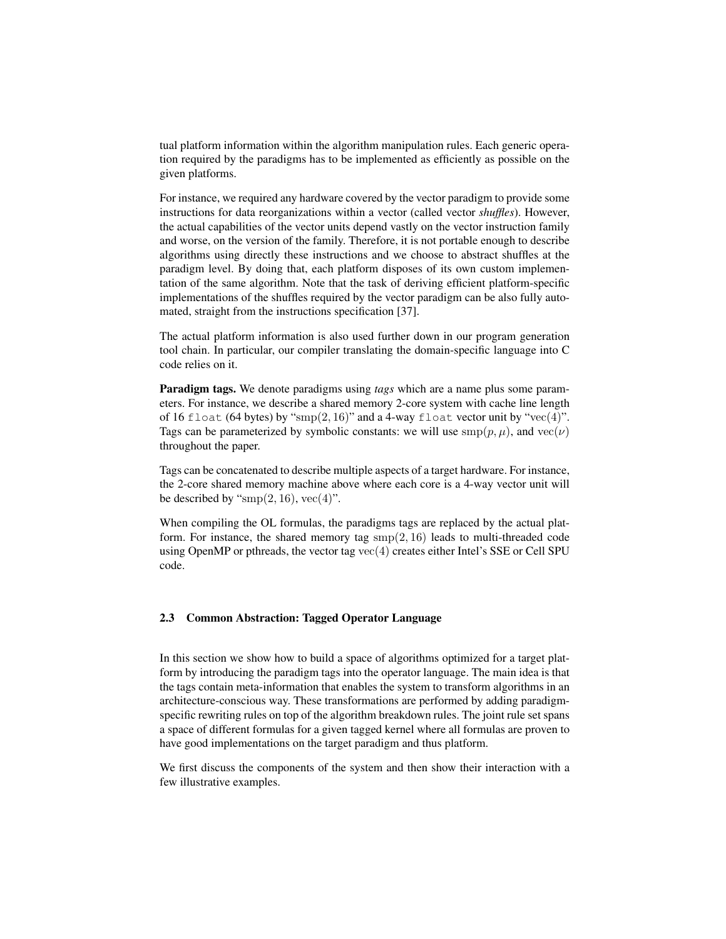tual platform information within the algorithm manipulation rules. Each generic operation required by the paradigms has to be implemented as efficiently as possible on the given platforms.

For instance, we required any hardware covered by the vector paradigm to provide some instructions for data reorganizations within a vector (called vector *shuffles*). However, the actual capabilities of the vector units depend vastly on the vector instruction family and worse, on the version of the family. Therefore, it is not portable enough to describe algorithms using directly these instructions and we choose to abstract shuffles at the paradigm level. By doing that, each platform disposes of its own custom implementation of the same algorithm. Note that the task of deriving efficient platform-specific implementations of the shuffles required by the vector paradigm can be also fully automated, straight from the instructions specification [37].

The actual platform information is also used further down in our program generation tool chain. In particular, our compiler translating the domain-specific language into C code relies on it.

Paradigm tags. We denote paradigms using *tags* which are a name plus some parameters. For instance, we describe a shared memory 2-core system with cache line length of 16 float (64 bytes) by "smp $(2, 16)$ " and a 4-way float vector unit by "vec $(4)$ ". Tags can be parameterized by symbolic constants: we will use  $\text{smp}(p, \mu)$ , and  $\text{vec}(\nu)$ throughout the paper.

Tags can be concatenated to describe multiple aspects of a target hardware. For instance, the 2-core shared memory machine above where each core is a 4-way vector unit will be described by " $\text{sup}(2, 16)$ ,  $\text{vec}(4)$ ".

When compiling the OL formulas, the paradigms tags are replaced by the actual platform. For instance, the shared memory tag  $\text{smp}(2, 16)$  leads to multi-threaded code using OpenMP or pthreads, the vector tag  $vec(4)$  creates either Intel's SSE or Cell SPU code.

#### 2.3 Common Abstraction: Tagged Operator Language

In this section we show how to build a space of algorithms optimized for a target platform by introducing the paradigm tags into the operator language. The main idea is that the tags contain meta-information that enables the system to transform algorithms in an architecture-conscious way. These transformations are performed by adding paradigmspecific rewriting rules on top of the algorithm breakdown rules. The joint rule set spans a space of different formulas for a given tagged kernel where all formulas are proven to have good implementations on the target paradigm and thus platform.

We first discuss the components of the system and then show their interaction with a few illustrative examples.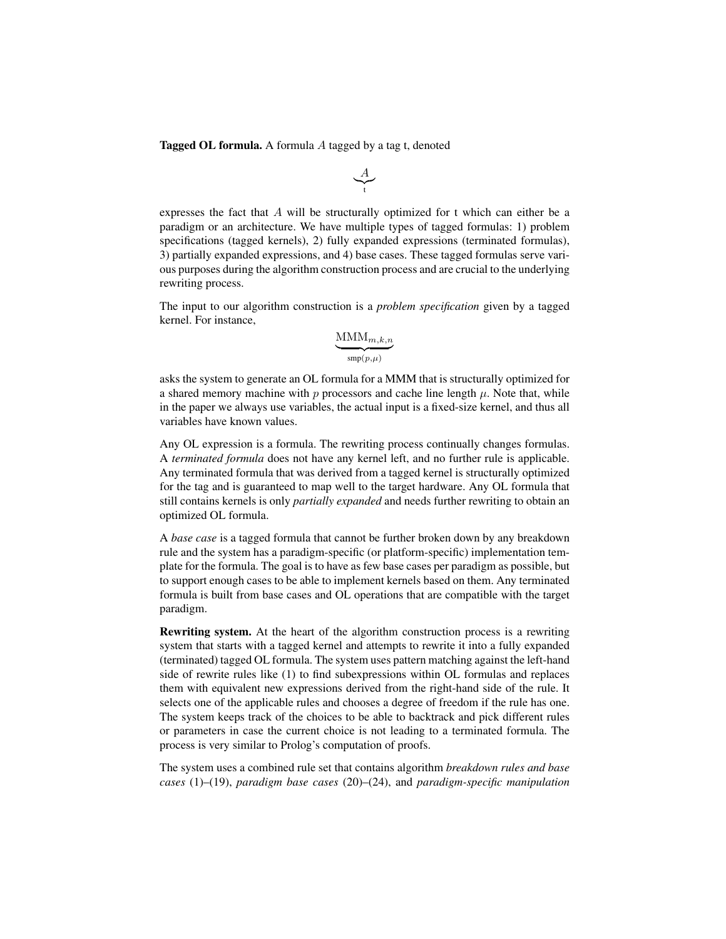Tagged OL formula. A formula A tagged by a tag t, denoted

$$
\underbrace{\mathcal{A}}_{t}
$$

expresses the fact that A will be structurally optimized for t which can either be a paradigm or an architecture. We have multiple types of tagged formulas: 1) problem specifications (tagged kernels), 2) fully expanded expressions (terminated formulas), 3) partially expanded expressions, and 4) base cases. These tagged formulas serve various purposes during the algorithm construction process and are crucial to the underlying rewriting process.

The input to our algorithm construction is a *problem specification* given by a tagged kernel. For instance,

$$
\underbrace{\text{MMM}_{m,k,n}}_{\text{smp}(p,\mu)}
$$

asks the system to generate an OL formula for a MMM that is structurally optimized for a shared memory machine with p processors and cache line length  $\mu$ . Note that, while in the paper we always use variables, the actual input is a fixed-size kernel, and thus all variables have known values.

Any OL expression is a formula. The rewriting process continually changes formulas. A *terminated formula* does not have any kernel left, and no further rule is applicable. Any terminated formula that was derived from a tagged kernel is structurally optimized for the tag and is guaranteed to map well to the target hardware. Any OL formula that still contains kernels is only *partially expanded* and needs further rewriting to obtain an optimized OL formula.

A *base case* is a tagged formula that cannot be further broken down by any breakdown rule and the system has a paradigm-specific (or platform-specific) implementation template for the formula. The goal is to have as few base cases per paradigm as possible, but to support enough cases to be able to implement kernels based on them. Any terminated formula is built from base cases and OL operations that are compatible with the target paradigm.

Rewriting system. At the heart of the algorithm construction process is a rewriting system that starts with a tagged kernel and attempts to rewrite it into a fully expanded (terminated) tagged OL formula. The system uses pattern matching against the left-hand side of rewrite rules like (1) to find subexpressions within OL formulas and replaces them with equivalent new expressions derived from the right-hand side of the rule. It selects one of the applicable rules and chooses a degree of freedom if the rule has one. The system keeps track of the choices to be able to backtrack and pick different rules or parameters in case the current choice is not leading to a terminated formula. The process is very similar to Prolog's computation of proofs.

The system uses a combined rule set that contains algorithm *breakdown rules and base cases* (1)–(19), *paradigm base cases* (20)–(24), and *paradigm-specific manipulation*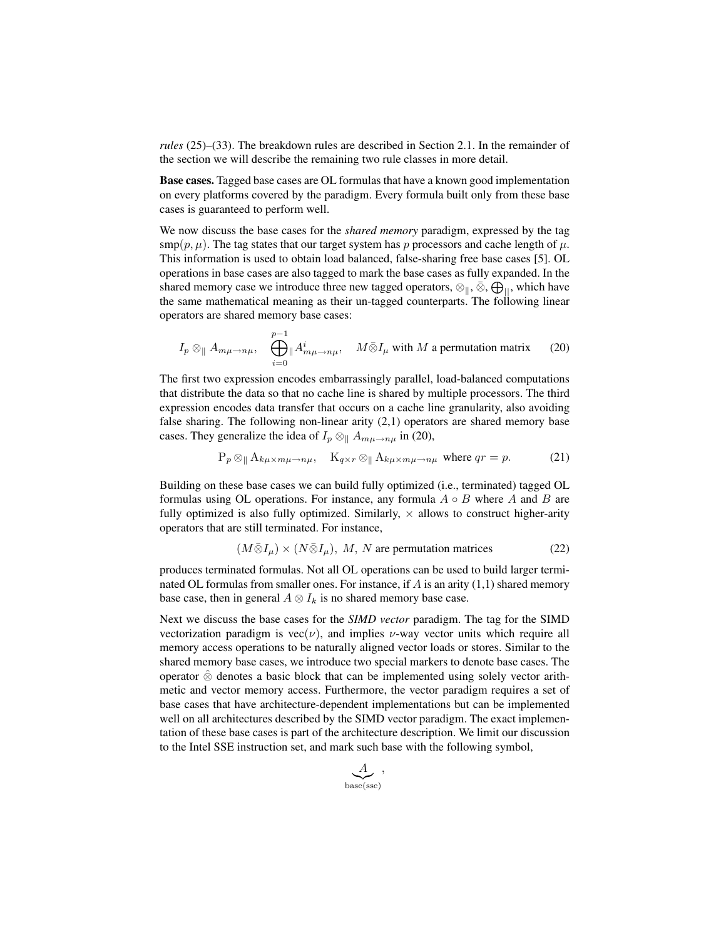*rules* (25)–(33). The breakdown rules are described in Section 2.1. In the remainder of the section we will describe the remaining two rule classes in more detail.

Base cases. Tagged base cases are OL formulas that have a known good implementation on every platforms covered by the paradigm. Every formula built only from these base cases is guaranteed to perform well.

We now discuss the base cases for the *shared memory* paradigm, expressed by the tag  $\text{smp}(p, \mu)$ . The tag states that our target system has p processors and cache length of  $\mu$ . This information is used to obtain load balanced, false-sharing free base cases [5]. OL operations in base cases are also tagged to mark the base cases as fully expanded. In the L shared memory case we introduce three new tagged operators,  $\otimes_{\parallel}$ ,  $\bar{\otimes}$ ,  $\bigoplus_{\parallel}$ , which have the same mathematical meaning as their un-tagged counterparts. The following linear operators are shared memory base cases:

$$
I_p \otimes_{\parallel} A_{m\mu \to n\mu}, \quad \bigoplus_{i=0}^{p-1} A_{m\mu \to n\mu}^i, \quad M \bar{\otimes} I_{\mu} \text{ with } M \text{ a permutation matrix} \qquad (20)
$$

The first two expression encodes embarrassingly parallel, load-balanced computations that distribute the data so that no cache line is shared by multiple processors. The third expression encodes data transfer that occurs on a cache line granularity, also avoiding false sharing. The following non-linear arity (2,1) operators are shared memory base cases. They generalize the idea of  $I_p \otimes \mathbb{R}$  A $_{m\mu \rightarrow n\mu}$  in (20),

$$
P_p \otimes_{\parallel} A_{k\mu \times m\mu \to n\mu}, \quad K_{q \times r} \otimes_{\parallel} A_{k\mu \times m\mu \to n\mu} \text{ where } qr = p. \tag{21}
$$

Building on these base cases we can build fully optimized (i.e., terminated) tagged OL formulas using OL operations. For instance, any formula  $A \circ B$  where A and B are fully optimized is also fully optimized. Similarly,  $\times$  allows to construct higher-arity operators that are still terminated. For instance,

$$
(M\bar{\otimes}I_{\mu})\times (N\bar{\otimes}I_{\mu}), M, N \text{ are permutation matrices} \qquad (22)
$$

produces terminated formulas. Not all OL operations can be used to build larger terminated OL formulas from smaller ones. For instance, if  $A$  is an arity (1,1) shared memory base case, then in general  $A \otimes I_k$  is no shared memory base case.

Next we discuss the base cases for the *SIMD vector* paradigm. The tag for the SIMD vectorization paradigm is  $vec(\nu)$ , and implies  $\nu$ -way vector units which require all memory access operations to be naturally aligned vector loads or stores. Similar to the shared memory base cases, we introduce two special markers to denote base cases. The operator ⊗ˆ denotes a basic block that can be implemented using solely vector arithmetic and vector memory access. Furthermore, the vector paradigm requires a set of base cases that have architecture-dependent implementations but can be implemented well on all architectures described by the SIMD vector paradigm. The exact implementation of these base cases is part of the architecture description. We limit our discussion to the Intel SSE instruction set, and mark such base with the following symbol,

$$
\underbrace{\mathcal{A}}_{\text{base(sse)}},
$$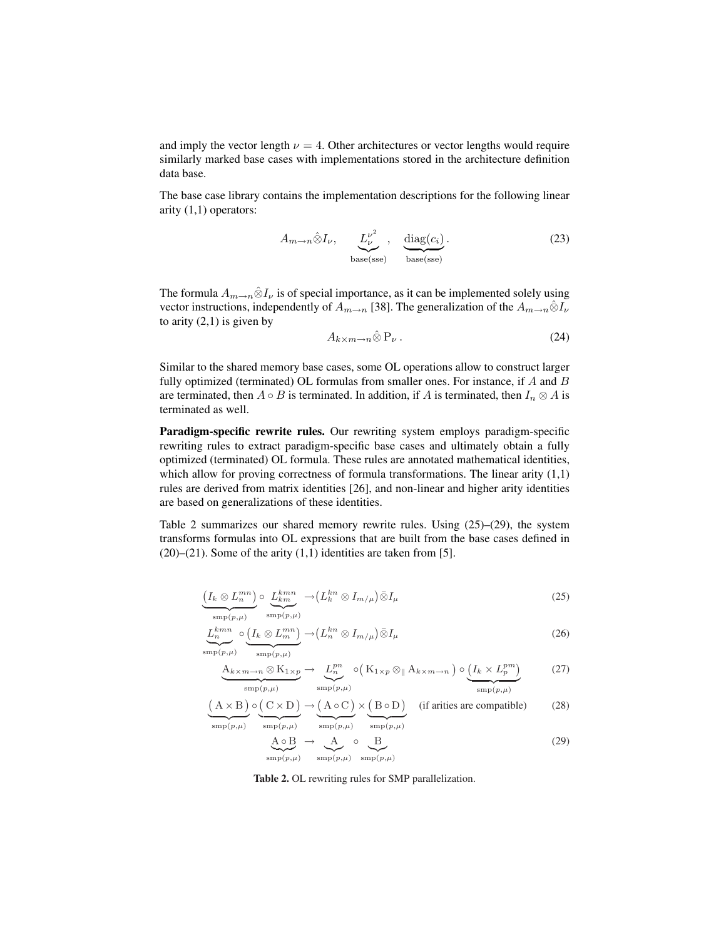and imply the vector length  $\nu = 4$ . Other architectures or vector lengths would require similarly marked base cases with implementations stored in the architecture definition data base.

The base case library contains the implementation descriptions for the following linear arity (1,1) operators:

$$
A_{m \to n} \hat{\otimes} I_{\nu}, \qquad \underbrace{L_{\nu}^{\nu^2}}_{\text{base(see)}}, \qquad \underbrace{\text{diag}(c_i)}_{\text{base(see)}}.
$$
 (23)

The formula  $A_{m\to n} \hat{\otimes} I_{\nu}$  is of special importance, as it can be implemented solely using vector instructions, independently of  $A_{m\to n}$  [38]. The generalization of the  $A_{m\to n}\hat{\otimes} I_{\nu}$ to arity  $(2,1)$  is given by

$$
A_{k \times m \to n} \hat{\otimes} P_{\nu} \,. \tag{24}
$$

Similar to the shared memory base cases, some OL operations allow to construct larger fully optimized (terminated) OL formulas from smaller ones. For instance, if  $A$  and  $B$ are terminated, then  $A \circ B$  is terminated. In addition, if A is terminated, then  $I_n \otimes A$  is terminated as well.

Paradigm-specific rewrite rules. Our rewriting system employs paradigm-specific rewriting rules to extract paradigm-specific base cases and ultimately obtain a fully optimized (terminated) OL formula. These rules are annotated mathematical identities, which allow for proving correctness of formula transformations. The linear arity  $(1,1)$ rules are derived from matrix identities [26], and non-linear and higher arity identities are based on generalizations of these identities.

Table 2 summarizes our shared memory rewrite rules. Using (25)–(29), the system transforms formulas into OL expressions that are built from the base cases defined in  $(20)$ – $(21)$ . Some of the arity  $(1,1)$  identities are taken from [5].

$$
\underbrace{\left(I_k \otimes L_n^{mn}\right)}_{\text{smp}(p,\mu)} \circ \underbrace{L_{km}^{kmn}}_{\text{smp}(p,\mu)} \to \left(L_k^{kn} \otimes I_{m/\mu}\right) \bar{\otimes} I_{\mu} \tag{25}
$$

$$
L_n^{kmn} \circ (I_k \otimes L_m^{mn}) \to (L_n^{kn} \otimes I_{m/\mu}) \bar{\otimes} I_\mu
$$
\n(26)

 $\text{sup}(p,\mu)$  $\text{sup}(p,\mu)$ 

$$
\underbrace{A_{k \times m \to n} \otimes K_{1 \times p}}_{\text{smp}(p,\mu)} \to \underbrace{L_n^{pn}}_{\text{smp}(p,\mu)} \circ \left( K_{1 \times p} \otimes_{\parallel} A_{k \times m \to n} \right) \circ \underbrace{\left( I_k \times L_p^{pm} \right)}_{\text{smp}(p,\mu)} \tag{27}
$$

$$
\underbrace{(A \times B)}_{\text{smp}(p,\mu)} \circ \underbrace{(C \times D)}_{\text{smp}(p,\mu)} \rightarrow \underbrace{(A \circ C)}_{\text{smp}(p,\mu)} \times \underbrace{(B \circ D)}_{\text{smp}(p,\mu)} \quad \text{(if articles are compatible)} \tag{28}
$$

$$
\underbrace{A \circ B}_{\text{smp}(p,\mu)} \rightarrow \underbrace{A}_{\text{smp}(p,\mu)} \circ \underbrace{B}_{\text{smp}(p,\mu)} \tag{29}
$$

Table 2. OL rewriting rules for SMP parallelization.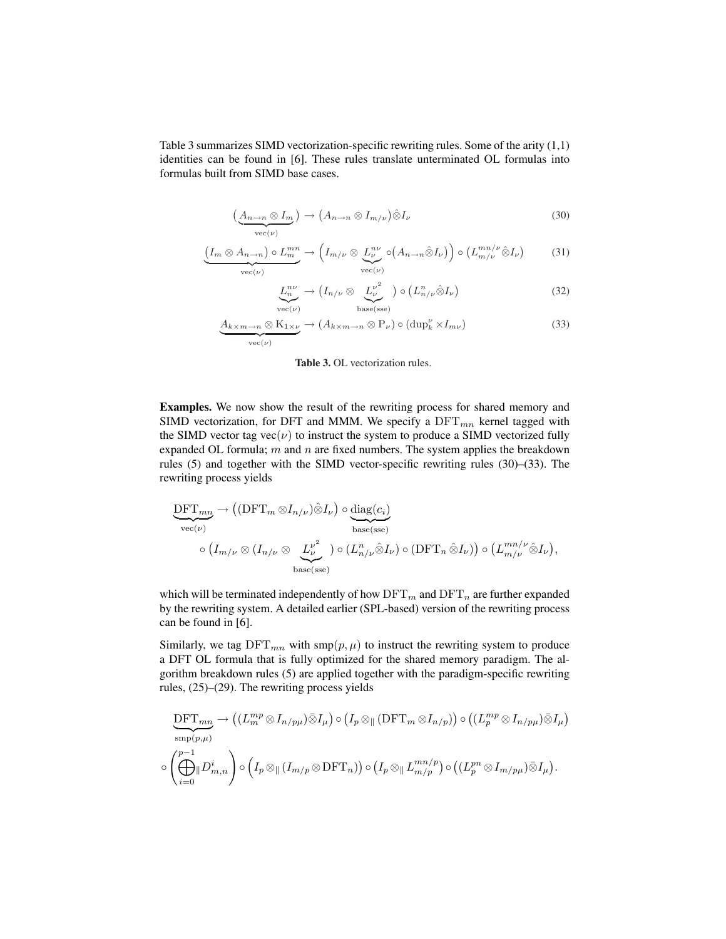Table 3 summarizes SIMD vectorization-specific rewriting rules. Some of the arity (1,1) identities can be found in [6]. These rules translate unterminated OL formulas into formulas built from SIMD base cases.

$$
\left(\underbrace{A_{n\to n}\otimes I_m}_{\text{vec}(\nu)}\right)\to\left(A_{n\to n}\otimes I_{m/\nu}\right)\hat{\otimes}I_{\nu}\tag{30}
$$

$$
\underbrace{\left(I_m \otimes A_{n\to n}\right) \circ L_m^{mn}}_{\text{vec}(\nu)} \to \left(I_{m/\nu} \otimes \underbrace{L_{\nu}^{n\nu}}_{\text{vec}(\nu)} \circ \left(A_{n\to n} \hat{\otimes} I_{\nu}\right)\right) \circ \left(L_{m/\nu}^{mn/\nu} \hat{\otimes} I_{\nu}\right) \tag{31}
$$

$$
\underbrace{L_n^{n\nu}}_{\text{vec}(\nu)} \to \left(I_{n/\nu} \otimes \underbrace{L_{\nu}^{\nu^2}}_{\text{base(sse)}}\right) \circ \left(L_{n/\nu}^n \hat{\otimes} I_{\nu}\right) \tag{32}
$$

$$
\underbrace{A_{k \times m \to n} \otimes \mathcal{K}_{1 \times \nu}}_{\text{vec}(\nu)} \to (A_{k \times m \to n} \otimes \mathcal{P}_{\nu}) \circ (\text{dup}_k^{\nu} \times I_{m\nu})
$$
\n(33)

Table 3. OL vectorization rules.

Examples. We now show the result of the rewriting process for shared memory and SIMD vectorization, for DFT and MMM. We specify a  $DFT_{mn}$  kernel tagged with the SIMD vector tag  $\text{vec}(\nu)$  to instruct the system to produce a SIMD vectorized fully expanded OL formula;  $m$  and  $n$  are fixed numbers. The system applies the breakdown rules (5) and together with the SIMD vector-specific rewriting rules (30)–(33). The rewriting process yields

$$
\underbrace{\mathrm{DFT}_{mn}}_{\mathrm{vec}(\nu)} \to ((\mathrm{DFT}_m \otimes I_{n/\nu}) \hat{\otimes} I_{\nu}) \circ \underbrace{\mathrm{diag}(c_i)}_{\mathrm{base}(\mathrm{sse})}
$$
\n
$$
\circ (I_{m/\nu} \otimes (I_{n/\nu} \otimes L_{\nu}^{\nu^2}) \circ (L_{n/\nu}^n \hat{\otimes} I_{\nu}) \circ (\mathrm{DFT}_n \hat{\otimes} I_{\nu})) \circ (L_{m/\nu}^{mn/\nu} \hat{\otimes} I_{\nu}),
$$

which will be terminated independently of how  $DFT_m$  and  $DFT_n$  are further expanded by the rewriting system. A detailed earlier (SPL-based) version of the rewriting process can be found in [6].

Similarly, we tag  $\text{DFT}_{mn}$  with  $\text{sup}(p, \mu)$  to instruct the rewriting system to produce a DFT OL formula that is fully optimized for the shared memory paradigm. The algorithm breakdown rules (5) are applied together with the paradigm-specific rewriting rules, (25)–(29). The rewriting process yields

$$
\underbrace{\mathrm{DFT}_{mn} \to ((L_m^{mp} \otimes I_{n/p\mu}) \bar{\otimes} I_{\mu}) \circ (I_p \otimes_{\parallel} (\mathrm{DFT}_m \otimes I_{n/p})) \circ ((L_p^{mp} \otimes I_{n/p\mu}) \bar{\otimes} I_{\mu})
$$
\n
$$
\circ \left( \bigoplus_{i=0}^{p-1} D_{m,n}^i \right) \circ \left( I_p \otimes_{\parallel} (I_{m/p} \otimes \mathrm{DFT}_n) \right) \circ (I_p \otimes_{\parallel} L_{m/p}^{mn/p}) \circ ((L_p^{pn} \otimes I_{m/p\mu}) \bar{\otimes} I_{\mu}).
$$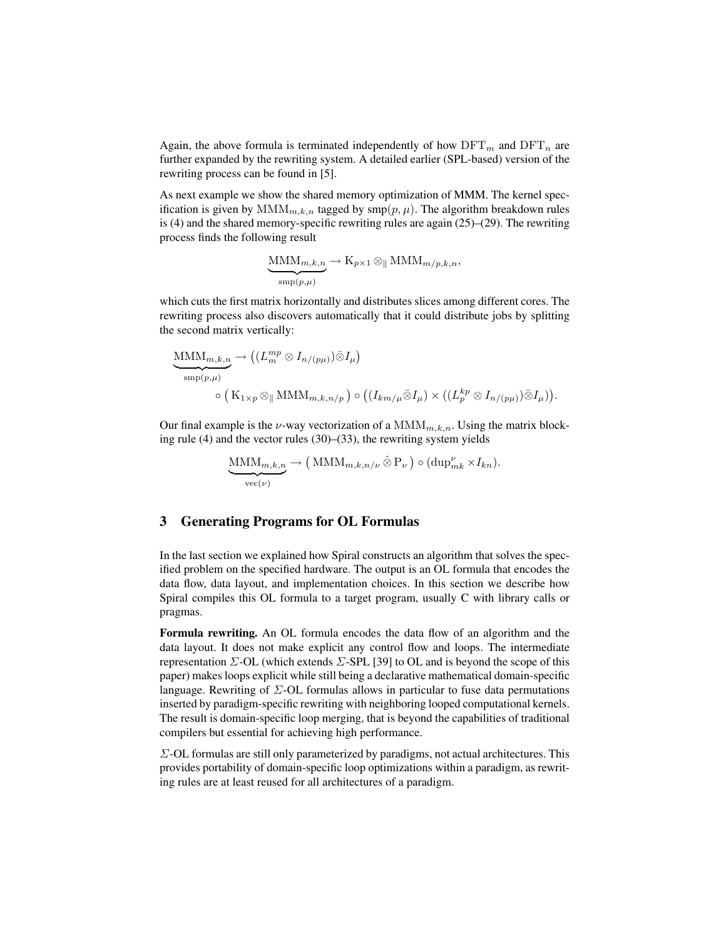Again, the above formula is terminated independently of how  $DFT_m$  and  $DFT_n$  are further expanded by the rewriting system. A detailed earlier (SPL-based) version of the rewriting process can be found in [5].

As next example we show the shared memory optimization of MMM. The kernel specification is given by  $MMM_{m,k,n}$  tagged by  $\text{sup}(p,\mu)$ . The algorithm breakdown rules is  $(4)$  and the shared memory-specific rewriting rules are again  $(25)$ – $(29)$ . The rewriting process finds the following result

$$
\underbrace{\textnormal{MMM}_{m,k,n}}_{\textnormal{smp}(p,\mu)} \to \textnormal{K}_{p\times 1}\otimes_{\parallel}\textnormal{MMM}_{m/p,k,n},
$$

which cuts the first matrix horizontally and distributes slices among different cores. The rewriting process also discovers automatically that it could distribute jobs by splitting the second matrix vertically:

$$
\begin{aligned}\n\underbrace{\text{MMM}_{m,k,n}}_{\text{smp}(p,\mu)} &\to \left( (L_m^{mp} \otimes I_{n/(p\mu)}) \bar{\otimes} I_{\mu} \right) \\
&\circ \left( \mathbf{K}_{1 \times p} \otimes_{\parallel} \text{MMM}_{m,k,n/p} \right) \circ \left( (I_{km/\mu} \bar{\otimes} I_{\mu}) \times \left( (L_p^{kp} \otimes I_{n/(p\mu)}) \bar{\otimes} I_{\mu} \right) \right).\n\end{aligned}
$$

Our final example is the *v*-way vectorization of a  $MMM_{m,k,n}$ . Using the matrix blocking rule (4) and the vector rules (30)–(33), the rewriting system yields

$$
\underbrace{\text{MMm},k,n}_{\text{vec}(\nu)} \to \left(\text{MMM}_{m,k,n/\nu} \hat{\otimes} P_{\nu}\right) \circ (\text{dup}_{mk}^{\nu} \times I_{kn}).
$$

## 3 Generating Programs for OL Formulas

In the last section we explained how Spiral constructs an algorithm that solves the specified problem on the specified hardware. The output is an OL formula that encodes the data flow, data layout, and implementation choices. In this section we describe how Spiral compiles this OL formula to a target program, usually C with library calls or pragmas.

Formula rewriting. An OL formula encodes the data flow of an algorithm and the data layout. It does not make explicit any control flow and loops. The intermediate representation  $\Sigma$ -OL (which extends  $\Sigma$ -SPL [39] to OL and is beyond the scope of this paper) makes loops explicit while still being a declarative mathematical domain-specific language. Rewriting of  $\Sigma$ -OL formulas allows in particular to fuse data permutations inserted by paradigm-specific rewriting with neighboring looped computational kernels. The result is domain-specific loop merging, that is beyond the capabilities of traditional compilers but essential for achieving high performance.

 $\Sigma$ -OL formulas are still only parameterized by paradigms, not actual architectures. This provides portability of domain-specific loop optimizations within a paradigm, as rewriting rules are at least reused for all architectures of a paradigm.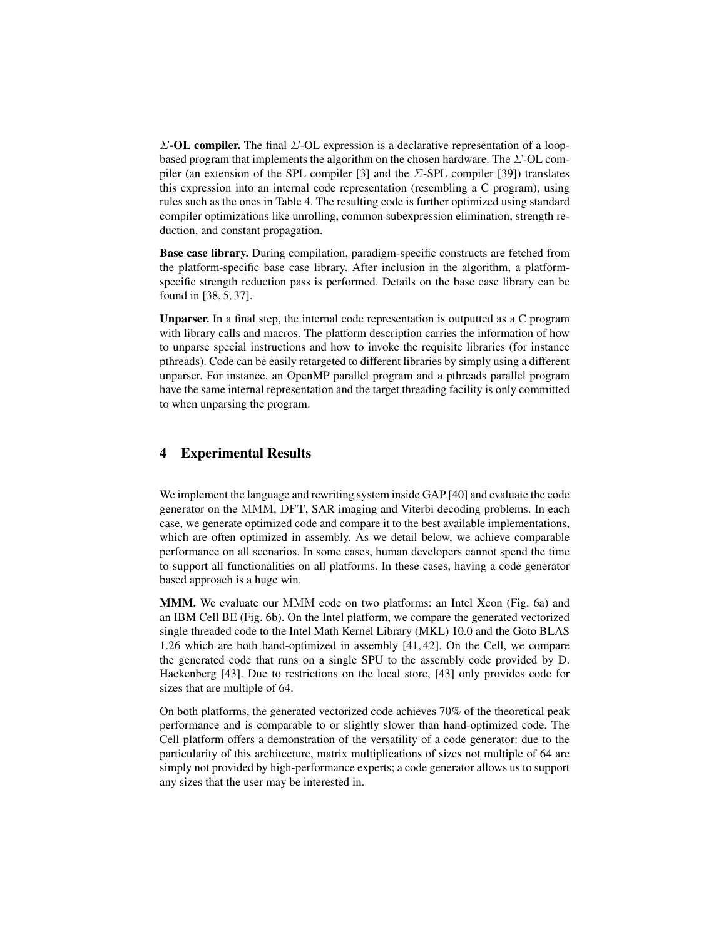$Σ$ -OL compiler. The final  $Σ$ -OL expression is a declarative representation of a loopbased program that implements the algorithm on the chosen hardware. The  $\Sigma$ -OL compiler (an extension of the SPL compiler [3] and the  $\Sigma$ -SPL compiler [39]) translates this expression into an internal code representation (resembling a C program), using rules such as the ones in Table 4. The resulting code is further optimized using standard compiler optimizations like unrolling, common subexpression elimination, strength reduction, and constant propagation.

Base case library. During compilation, paradigm-specific constructs are fetched from the platform-specific base case library. After inclusion in the algorithm, a platformspecific strength reduction pass is performed. Details on the base case library can be found in [38, 5, 37].

Unparser. In a final step, the internal code representation is outputted as a C program with library calls and macros. The platform description carries the information of how to unparse special instructions and how to invoke the requisite libraries (for instance pthreads). Code can be easily retargeted to different libraries by simply using a different unparser. For instance, an OpenMP parallel program and a pthreads parallel program have the same internal representation and the target threading facility is only committed to when unparsing the program.

### 4 Experimental Results

We implement the language and rewriting system inside GAP [40] and evaluate the code generator on the MMM, DFT, SAR imaging and Viterbi decoding problems. In each case, we generate optimized code and compare it to the best available implementations, which are often optimized in assembly. As we detail below, we achieve comparable performance on all scenarios. In some cases, human developers cannot spend the time to support all functionalities on all platforms. In these cases, having a code generator based approach is a huge win.

MMM. We evaluate our MMM code on two platforms: an Intel Xeon (Fig. 6a) and an IBM Cell BE (Fig. 6b). On the Intel platform, we compare the generated vectorized single threaded code to the Intel Math Kernel Library (MKL) 10.0 and the Goto BLAS 1.26 which are both hand-optimized in assembly [41, 42]. On the Cell, we compare the generated code that runs on a single SPU to the assembly code provided by D. Hackenberg [43]. Due to restrictions on the local store, [43] only provides code for sizes that are multiple of 64.

On both platforms, the generated vectorized code achieves 70% of the theoretical peak performance and is comparable to or slightly slower than hand-optimized code. The Cell platform offers a demonstration of the versatility of a code generator: due to the particularity of this architecture, matrix multiplications of sizes not multiple of 64 are simply not provided by high-performance experts; a code generator allows us to support any sizes that the user may be interested in.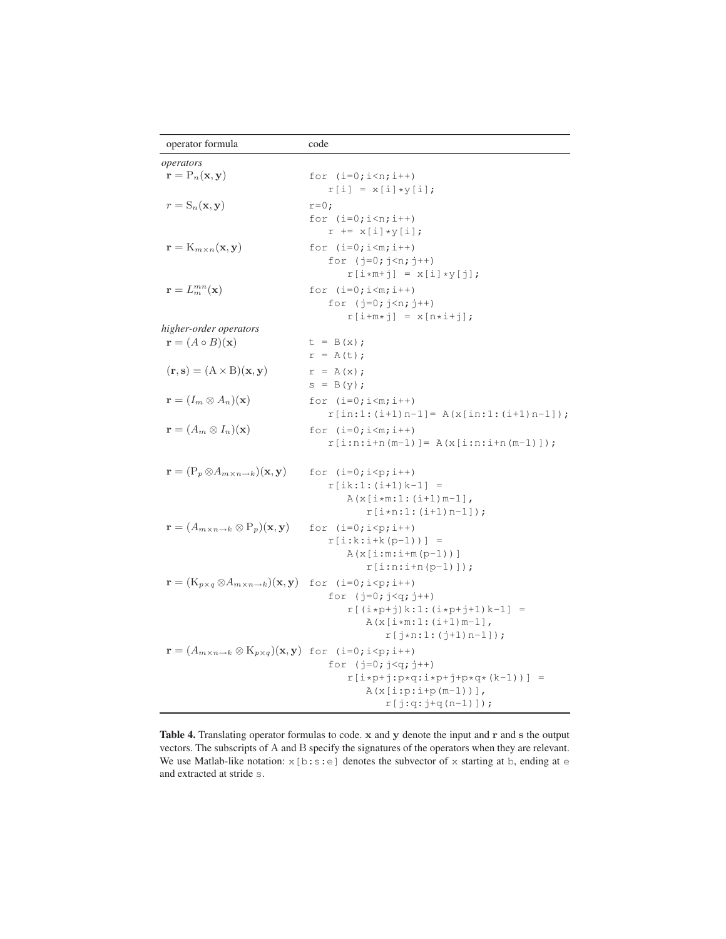| operator formula                                                                                                | code                                                                           |
|-----------------------------------------------------------------------------------------------------------------|--------------------------------------------------------------------------------|
| operators                                                                                                       |                                                                                |
| $\mathbf{r} = \mathrm{P}_n(\mathbf{x}, \mathbf{y})$                                                             | for $(i=0; i \le n; i++)$                                                      |
|                                                                                                                 | $r[i] = x[i]*y[i];$                                                            |
| $r = S_n(\mathbf{x}, \mathbf{y})$                                                                               | $r=0;$                                                                         |
|                                                                                                                 | for $(i=0; i < n; i++)$                                                        |
|                                                                                                                 | $r$ += $x[i]*y[i];$                                                            |
| $\mathbf{r} = \mathrm{K}_{m \times n}(\mathbf{x}, \mathbf{y})$                                                  | for $(i=0; i \le m; i++)$                                                      |
|                                                                                                                 | for $(j=0; j$                                                                  |
|                                                                                                                 | $r[i*m+1] = x[i]*y[j];$                                                        |
| $\mathbf{r} = L_m^{mn}(\mathbf{x})$                                                                             | for $(i=0; i \le m; i++)$                                                      |
|                                                                                                                 | for $(j=0; j$                                                                  |
| higher-order operators                                                                                          | $r[i+m*1] = x[n*1+1];$                                                         |
| $\mathbf{r} = (A \circ B)(\mathbf{x})$                                                                          | $t = B(x);$                                                                    |
|                                                                                                                 | $r = A(t);$                                                                    |
| $(\mathbf{r}, \mathbf{s}) = (A \times B)(\mathbf{x}, \mathbf{y})$                                               | $r = A(x)$ ;                                                                   |
|                                                                                                                 | $s = B(y)$ ;                                                                   |
| $\mathbf{r}=(I_m\otimes A_n)(\mathbf{x})$                                                                       | for $(i=0; i \leq m; i++)$                                                     |
|                                                                                                                 | $r[in:1:(i+1)n-1] = A(x[in:1:(i+1)n-1])$ ;                                     |
| $\mathbf{r} = (A_m \otimes I_n)(\mathbf{x})$                                                                    | for $(i=0; i \le m; i++)$                                                      |
|                                                                                                                 | $r[i:n:i+n(m-1)] = A(x[i:n:i+n(m-1)]);$                                        |
|                                                                                                                 |                                                                                |
| $\mathbf{r} = (\mathbf{P}_p \otimes A_{m \times n \to k})(\mathbf{x}, \mathbf{y})$                              | for $(i=0; i < p; i++)$                                                        |
|                                                                                                                 | $r[ik:1:(i+1)k-1] =$                                                           |
|                                                                                                                 | $A(x[i+m:1:(i+1)m-1],$                                                         |
|                                                                                                                 | $r[i*n:1:(i+1)n-1]$ ;                                                          |
| $\mathbf{r} = (A_{m \times n \to k} \otimes P_{p})(\mathbf{x}, \mathbf{y})$                                     | for $(i=0; i < p; i++)$                                                        |
|                                                                                                                 | $r[i:k:i+k(p-1))] =$                                                           |
|                                                                                                                 | $A(x[i:m:i+m(p-1))]$                                                           |
|                                                                                                                 | $r[i:n:i+n(p-1)]$ ;                                                            |
| $\mathbf{r} = (\mathrm{K}_{p \times q} \otimes A_{m \times n \to k})(\mathbf{x}, \mathbf{y})$                   | for $(i=0; i < p; i++)$                                                        |
|                                                                                                                 | for $(j=0; j$                                                                  |
|                                                                                                                 | $r[(i * p + j)k : 1 : (i * p + j + 1)k - 1] =$<br>$A(x[i \star m:1:(i+1)m-1],$ |
|                                                                                                                 | $r[j*n:1:(j+1)n-1])$ ;                                                         |
| $\mathbf{r} = (A_{m \times n \to k} \otimes K_{p \times q})(\mathbf{x}, \mathbf{y})$ for $(i=0; i \leq p; i++)$ |                                                                                |
|                                                                                                                 | for $(j=0; j$                                                                  |
|                                                                                                                 | $r[i * p + j : p * q : i * p + j + p * q * (k-1))] =$                          |
|                                                                                                                 | $A(x[i:p:i+p(m-1))]$ ,                                                         |
|                                                                                                                 | $r[j:q:j+q(n-1)]$ ;                                                            |

Table 4. Translating operator formulas to code. x and y denote the input and r and s the output vectors. The subscripts of A and B specify the signatures of the operators when they are relevant. We use Matlab-like notation:  $x[b:s:e]$  denotes the subvector of x starting at b, ending at e and extracted at stride s.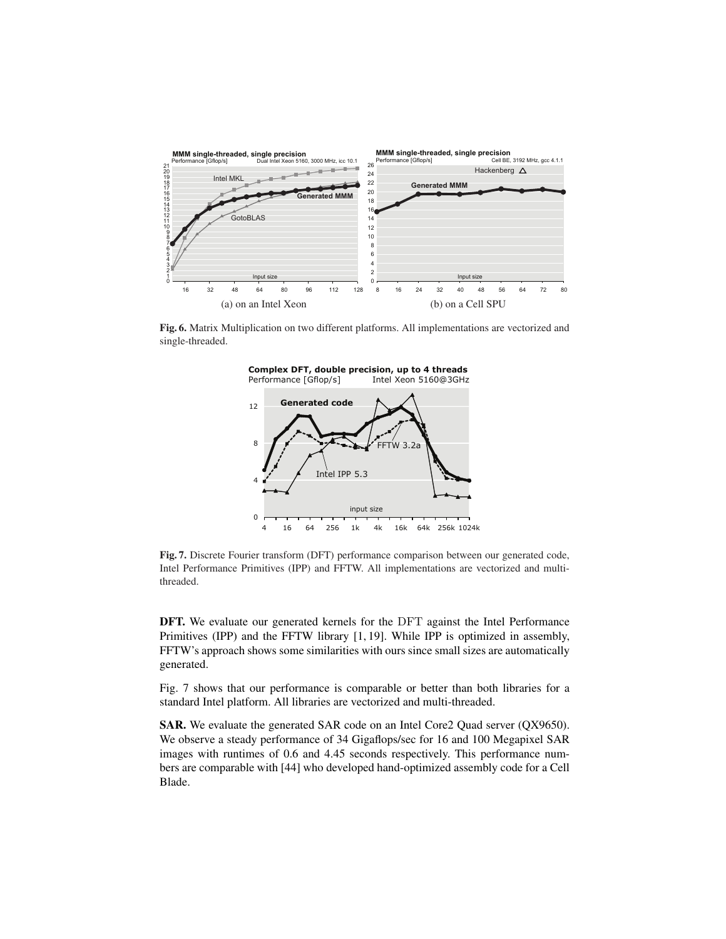

Fig. 6. Matrix Multiplication on two different platforms. All implementations are vectorized and single-threaded.



Fig. 7. Discrete Fourier transform (DFT) performance comparison between our generated code, Intel Performance Primitives (IPP) and FFTW. All implementations are vectorized and multithreaded.

DFT. We evaluate our generated kernels for the DFT against the Intel Performance Primitives (IPP) and the FFTW library [1, 19]. While IPP is optimized in assembly, FFTW's approach shows some similarities with ours since small sizes are automatically generated.

Fig. 7 shows that our performance is comparable or better than both libraries for a standard Intel platform. All libraries are vectorized and multi-threaded.

SAR. We evaluate the generated SAR code on an Intel Core2 Quad server (QX9650). We observe a steady performance of 34 Gigaflops/sec for 16 and 100 Megapixel SAR images with runtimes of 0.6 and 4.45 seconds respectively. This performance numbers are comparable with [44] who developed hand-optimized assembly code for a Cell Blade.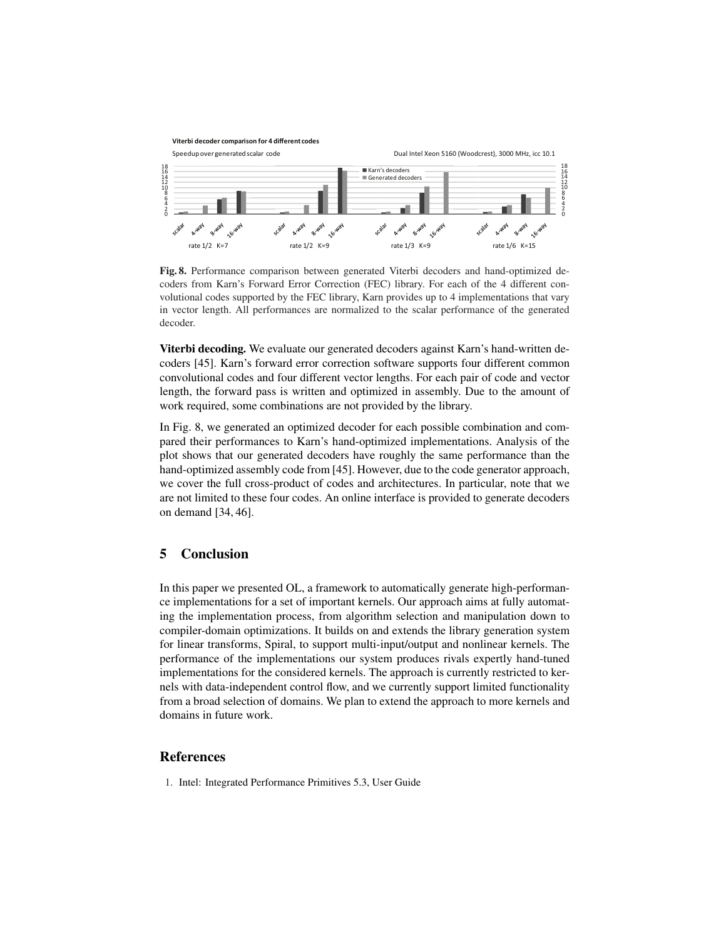

Fig. 8. Performance comparison between generated Viterbi decoders and hand-optimized decoders from Karn's Forward Error Correction (FEC) library. For each of the 4 different convolutional codes supported by the FEC library, Karn provides up to 4 implementations that vary in vector length. All performances are normalized to the scalar performance of the generated decoder.

Viterbi decoding. We evaluate our generated decoders against Karn's hand-written decoders [45]. Karn's forward error correction software supports four different common convolutional codes and four different vector lengths. For each pair of code and vector length, the forward pass is written and optimized in assembly. Due to the amount of work required, some combinations are not provided by the library.

In Fig. 8, we generated an optimized decoder for each possible combination and compared their performances to Karn's hand-optimized implementations. Analysis of the plot shows that our generated decoders have roughly the same performance than the hand-optimized assembly code from [45]. However, due to the code generator approach, we cover the full cross-product of codes and architectures. In particular, note that we are not limited to these four codes. An online interface is provided to generate decoders on demand [34, 46].

## 5 Conclusion

In this paper we presented OL, a framework to automatically generate high-performance implementations for a set of important kernels. Our approach aims at fully automating the implementation process, from algorithm selection and manipulation down to compiler-domain optimizations. It builds on and extends the library generation system for linear transforms, Spiral, to support multi-input/output and nonlinear kernels. The performance of the implementations our system produces rivals expertly hand-tuned implementations for the considered kernels. The approach is currently restricted to kernels with data-independent control flow, and we currently support limited functionality from a broad selection of domains. We plan to extend the approach to more kernels and domains in future work.

#### References

1. Intel: Integrated Performance Primitives 5.3, User Guide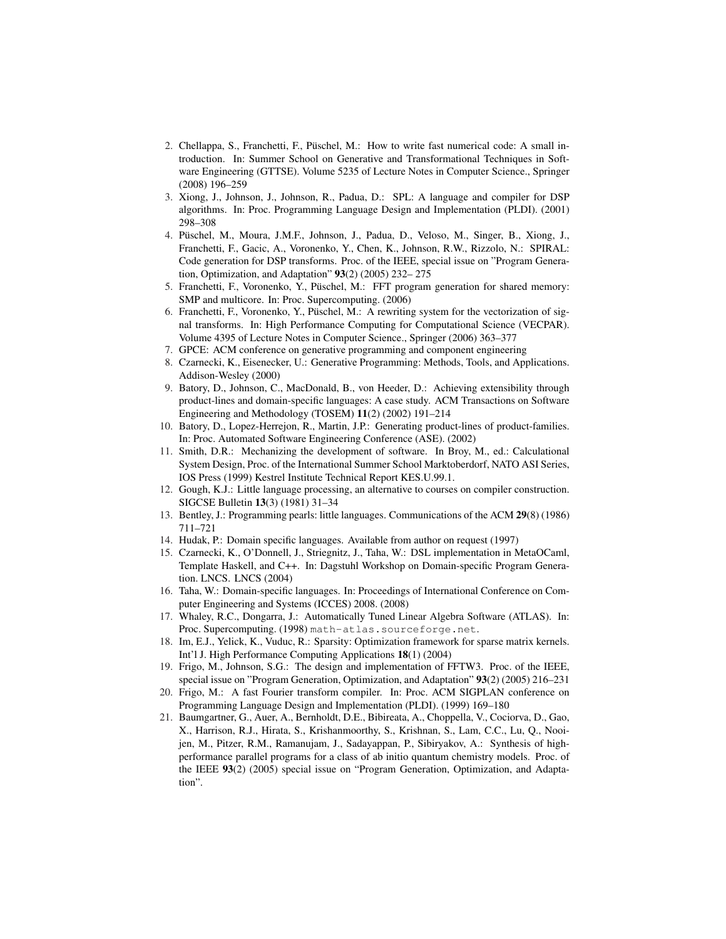- 2. Chellappa, S., Franchetti, F., Püschel, M.: How to write fast numerical code: A small introduction. In: Summer School on Generative and Transformational Techniques in Software Engineering (GTTSE). Volume 5235 of Lecture Notes in Computer Science., Springer (2008) 196–259
- 3. Xiong, J., Johnson, J., Johnson, R., Padua, D.: SPL: A language and compiler for DSP algorithms. In: Proc. Programming Language Design and Implementation (PLDI). (2001) 298–308
- 4. Püschel, M., Moura, J.M.F., Johnson, J., Padua, D., Veloso, M., Singer, B., Xiong, J., Franchetti, F., Gacic, A., Voronenko, Y., Chen, K., Johnson, R.W., Rizzolo, N.: SPIRAL: Code generation for DSP transforms. Proc. of the IEEE, special issue on "Program Generation, Optimization, and Adaptation" 93(2) (2005) 232– 275
- 5. Franchetti, F., Voronenko, Y., Püschel, M.: FFT program generation for shared memory: SMP and multicore. In: Proc. Supercomputing. (2006)
- 6. Franchetti, F., Voronenko, Y., Püschel, M.: A rewriting system for the vectorization of signal transforms. In: High Performance Computing for Computational Science (VECPAR). Volume 4395 of Lecture Notes in Computer Science., Springer (2006) 363–377
- 7. GPCE: ACM conference on generative programming and component engineering
- 8. Czarnecki, K., Eisenecker, U.: Generative Programming: Methods, Tools, and Applications. Addison-Wesley (2000)
- 9. Batory, D., Johnson, C., MacDonald, B., von Heeder, D.: Achieving extensibility through product-lines and domain-specific languages: A case study. ACM Transactions on Software Engineering and Methodology (TOSEM) 11(2) (2002) 191–214
- 10. Batory, D., Lopez-Herrejon, R., Martin, J.P.: Generating product-lines of product-families. In: Proc. Automated Software Engineering Conference (ASE). (2002)
- 11. Smith, D.R.: Mechanizing the development of software. In Broy, M., ed.: Calculational System Design, Proc. of the International Summer School Marktoberdorf, NATO ASI Series, IOS Press (1999) Kestrel Institute Technical Report KES.U.99.1.
- 12. Gough, K.J.: Little language processing, an alternative to courses on compiler construction. SIGCSE Bulletin 13(3) (1981) 31–34
- 13. Bentley, J.: Programming pearls: little languages. Communications of the ACM 29(8) (1986) 711–721
- 14. Hudak, P.: Domain specific languages. Available from author on request (1997)
- 15. Czarnecki, K., O'Donnell, J., Striegnitz, J., Taha, W.: DSL implementation in MetaOCaml, Template Haskell, and C++. In: Dagstuhl Workshop on Domain-specific Program Generation. LNCS. LNCS (2004)
- 16. Taha, W.: Domain-specific languages. In: Proceedings of International Conference on Computer Engineering and Systems (ICCES) 2008. (2008)
- 17. Whaley, R.C., Dongarra, J.: Automatically Tuned Linear Algebra Software (ATLAS). In: Proc. Supercomputing. (1998) math-atlas. sourceforge.net.
- 18. Im, E.J., Yelick, K., Vuduc, R.: Sparsity: Optimization framework for sparse matrix kernels. Int'l J. High Performance Computing Applications 18(1) (2004)
- 19. Frigo, M., Johnson, S.G.: The design and implementation of FFTW3. Proc. of the IEEE, special issue on "Program Generation, Optimization, and Adaptation" 93(2) (2005) 216–231
- 20. Frigo, M.: A fast Fourier transform compiler. In: Proc. ACM SIGPLAN conference on Programming Language Design and Implementation (PLDI). (1999) 169–180
- 21. Baumgartner, G., Auer, A., Bernholdt, D.E., Bibireata, A., Choppella, V., Cociorva, D., Gao, X., Harrison, R.J., Hirata, S., Krishanmoorthy, S., Krishnan, S., Lam, C.C., Lu, Q., Nooijen, M., Pitzer, R.M., Ramanujam, J., Sadayappan, P., Sibiryakov, A.: Synthesis of highperformance parallel programs for a class of ab initio quantum chemistry models. Proc. of the IEEE 93(2) (2005) special issue on "Program Generation, Optimization, and Adaptation".